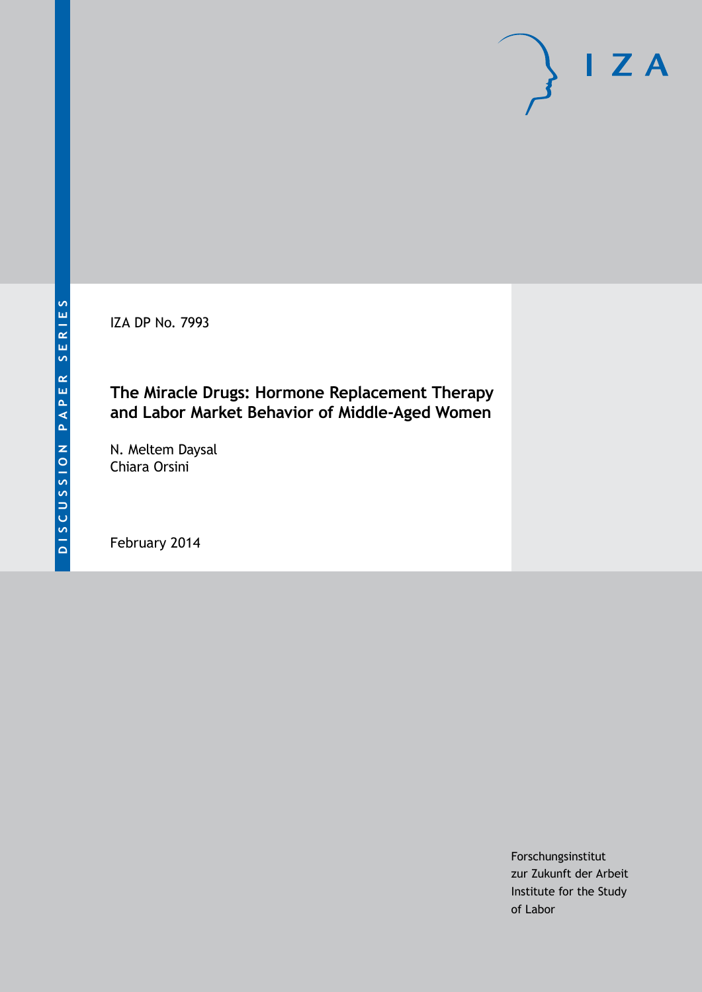IZA DP No. 7993

### **The Miracle Drugs: Hormone Replacement Therapy and Labor Market Behavior of Middle-Aged Women**

N. Meltem Daysal Chiara Orsini

February 2014

Forschungsinstitut zur Zukunft der Arbeit Institute for the Study of Labor

 $I Z A$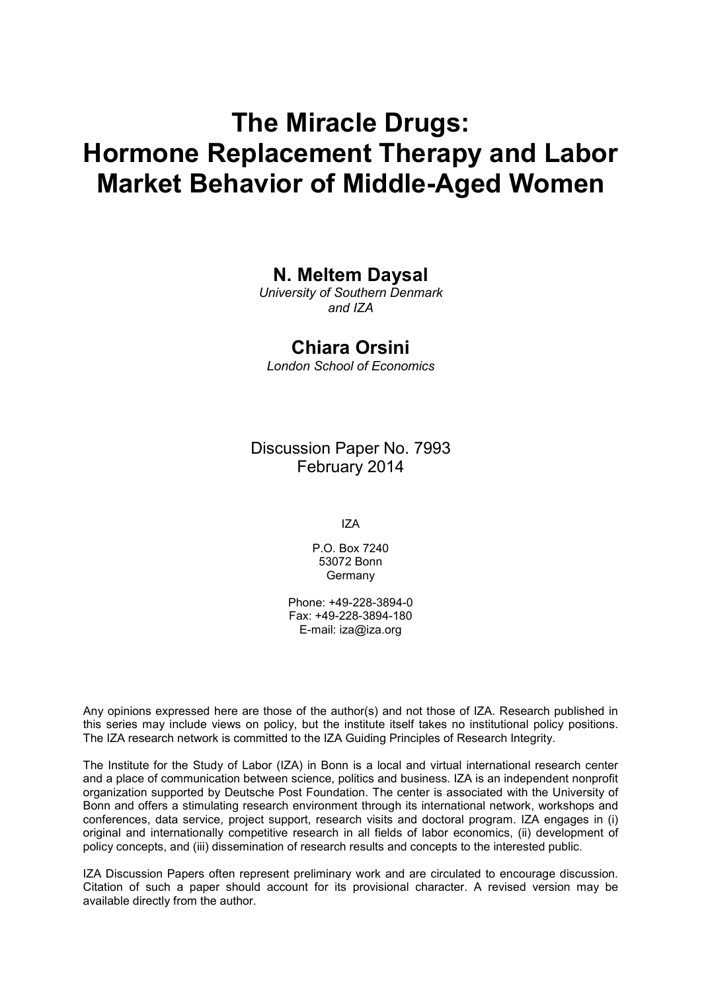# **The Miracle Drugs: Hormone Replacement Therapy and Labor Market Behavior of Middle-Aged Women**

### **N. Meltem Daysal**

*University of Southern Denmark and IZA*

### **Chiara Orsini**

*London School of Economics*

Discussion Paper No. 7993 February 2014

IZA

P.O. Box 7240 53072 Bonn Germany

Phone: +49-228-3894-0 Fax: +49-228-3894-180 E-mail: [iza@iza.org](mailto:iza@iza.org)

Any opinions expressed here are those of the author(s) and not those of IZA. Research published in this series may include views on policy, but the institute itself takes no institutional policy positions. The IZA research network is committed to the IZA Guiding Principles of Research Integrity.

The Institute for the Study of Labor (IZA) in Bonn is a local and virtual international research center and a place of communication between science, politics and business. IZA is an independent nonprofit organization supported by Deutsche Post Foundation. The center is associated with the University of Bonn and offers a stimulating research environment through its international network, workshops and conferences, data service, project support, research visits and doctoral program. IZA engages in (i) original and internationally competitive research in all fields of labor economics, (ii) development of policy concepts, and (iii) dissemination of research results and concepts to the interested public.

IZA Discussion Papers often represent preliminary work and are circulated to encourage discussion. Citation of such a paper should account for its provisional character. A revised version may be available directly from the author.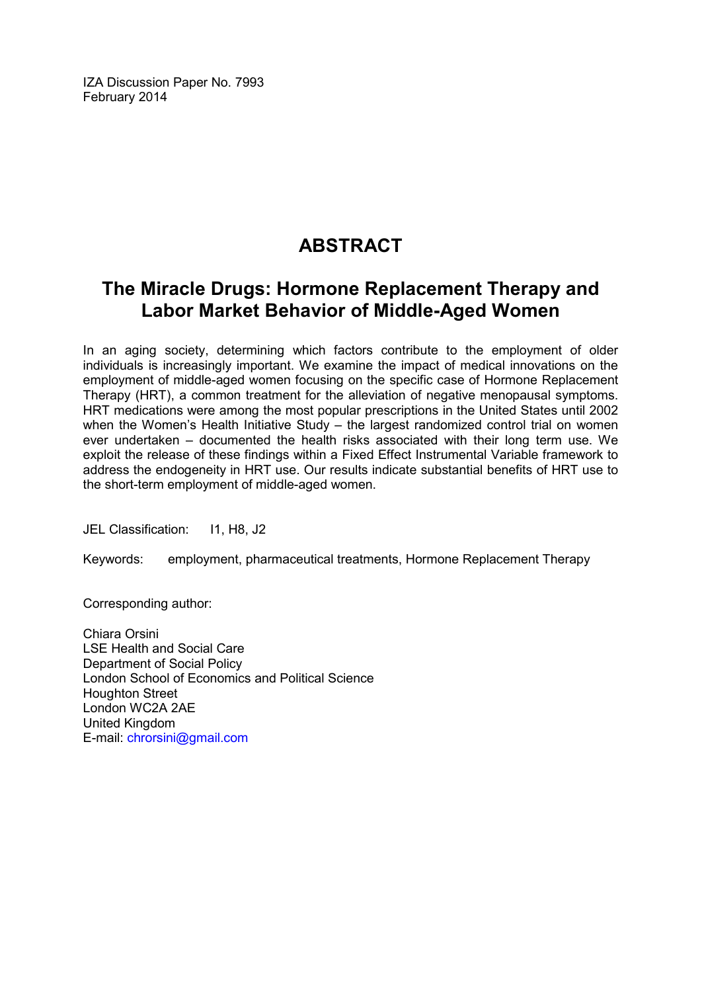IZA Discussion Paper No. 7993 February 2014

# **ABSTRACT**

## **The Miracle Drugs: Hormone Replacement Therapy and Labor Market Behavior of Middle-Aged Women**

In an aging society, determining which factors contribute to the employment of older individuals is increasingly important. We examine the impact of medical innovations on the employment of middle-aged women focusing on the specific case of Hormone Replacement Therapy (HRT), a common treatment for the alleviation of negative menopausal symptoms. HRT medications were among the most popular prescriptions in the United States until 2002 when the Women's Health Initiative Study – the largest randomized control trial on women ever undertaken – documented the health risks associated with their long term use. We exploit the release of these findings within a Fixed Effect Instrumental Variable framework to address the endogeneity in HRT use. Our results indicate substantial benefits of HRT use to the short-term employment of middle-aged women.

JEL Classification: 11, H8, J2

Keywords: employment, pharmaceutical treatments, Hormone Replacement Therapy

Corresponding author:

Chiara Orsini LSE Health and Social Care Department of Social Policy London School of Economics and Political Science Houghton Street London WC2A 2AE United Kingdom E-mail: [chrorsini@gmail.com](mailto:chrorsini@gmail.com)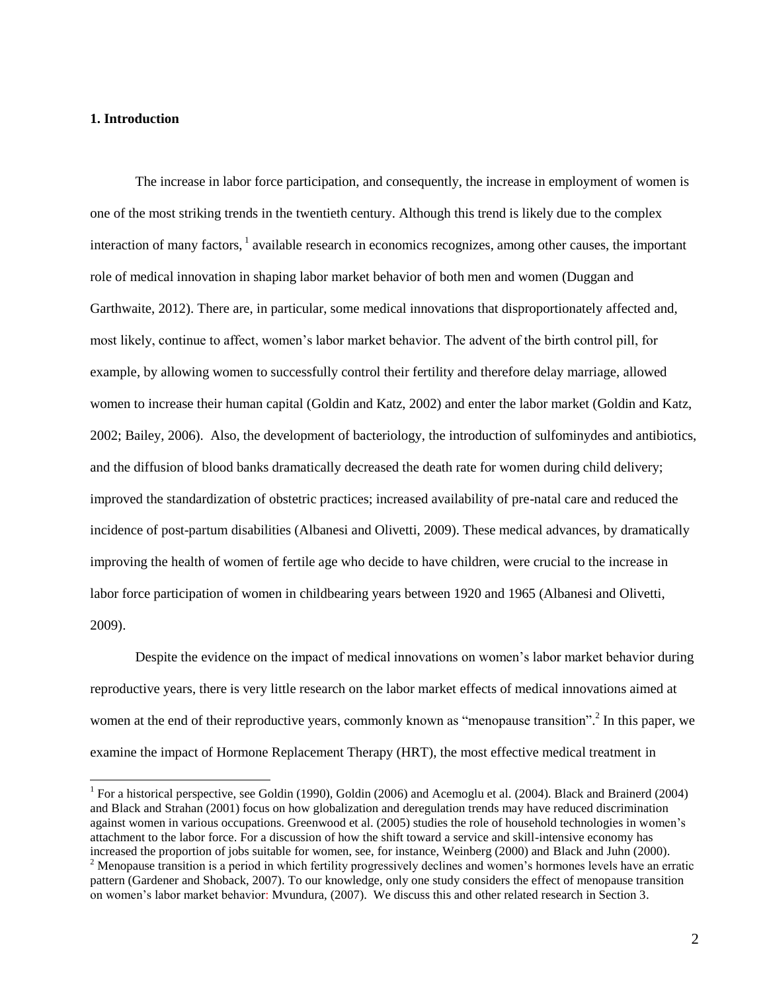#### **1. Introduction**

 $\overline{a}$ 

The increase in labor force participation, and consequently, the increase in employment of women is one of the most striking trends in the twentieth century. Although this trend is likely due to the complex interaction of many factors, <sup>1</sup> available research in economics recognizes, among other causes, the important role of medical innovation in shaping labor market behavior of both men and women (Duggan and Garthwaite, 2012). There are, in particular, some medical innovations that disproportionately affected and, most likely, continue to affect, women's labor market behavior. The advent of the birth control pill, for example, by allowing women to successfully control their fertility and therefore delay marriage, allowed women to increase their human capital (Goldin and Katz, 2002) and enter the labor market (Goldin and Katz, 2002; Bailey, 2006). Also, the development of bacteriology, the introduction of sulfominydes and antibiotics, and the diffusion of blood banks dramatically decreased the death rate for women during child delivery; improved the standardization of obstetric practices; increased availability of pre-natal care and reduced the incidence of post-partum disabilities (Albanesi and Olivetti, 2009). These medical advances, by dramatically improving the health of women of fertile age who decide to have children, were crucial to the increase in labor force participation of women in childbearing years between 1920 and 1965 (Albanesi and Olivetti, 2009).

Despite the evidence on the impact of medical innovations on women's labor market behavior during reproductive years, there is very little research on the labor market effects of medical innovations aimed at women at the end of their reproductive years, commonly known as "menopause transition".<sup>2</sup> In this paper, we examine the impact of Hormone Replacement Therapy (HRT), the most effective medical treatment in

<sup>&</sup>lt;sup>1</sup> For a historical perspective, see Goldin (1990), Goldin (2006) and Acemoglu et al. (2004). Black and Brainerd (2004) and Black and Strahan (2001) focus on how globalization and deregulation trends may have reduced discrimination against women in various occupations. Greenwood et al. (2005) studies the role of household technologies in women's attachment to the labor force. For a discussion of how the shift toward a service and skill-intensive economy has increased the proportion of jobs suitable for women, see, for instance, Weinberg (2000) and Black and Juhn (2000).  $2$  Menopause transition is a period in which fertility progressively declines and women's hormones levels have an erratic pattern (Gardener and Shoback, 2007). To our knowledge, only one study considers the effect of menopause transition on women's labor market behavior: Mvundura, (2007). We discuss this and other related research in Section 3.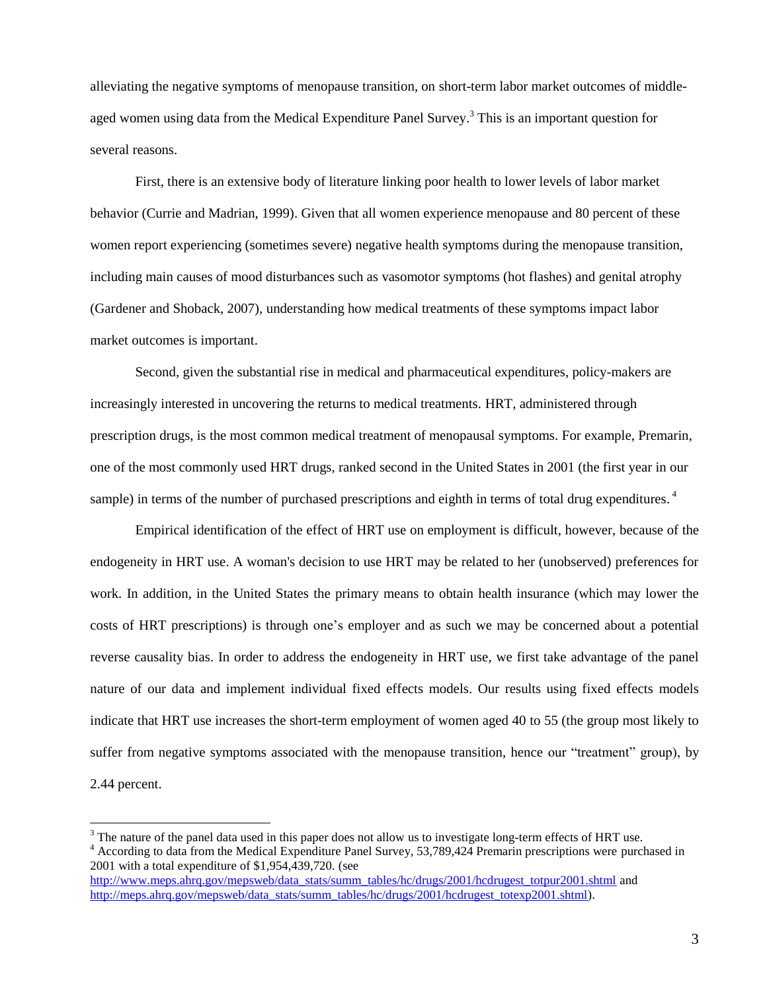alleviating the negative symptoms of menopause transition, on short-term labor market outcomes of middleaged women using data from the Medical Expenditure Panel Survey.<sup>3</sup> This is an important question for several reasons.

First, there is an extensive body of literature linking poor health to lower levels of labor market behavior (Currie and Madrian, 1999). Given that all women experience menopause and 80 percent of these women report experiencing (sometimes severe) negative health symptoms during the menopause transition, including main causes of mood disturbances such as vasomotor symptoms (hot flashes) and genital atrophy (Gardener and Shoback, 2007), understanding how medical treatments of these symptoms impact labor market outcomes is important.

Second, given the substantial rise in medical and pharmaceutical expenditures, policy-makers are increasingly interested in uncovering the returns to medical treatments. HRT, administered through prescription drugs, is the most common medical treatment of menopausal symptoms. For example, Premarin, one of the most commonly used HRT drugs, ranked second in the United States in 2001 (the first year in our sample) in terms of the number of purchased prescriptions and eighth in terms of total drug expenditures.<sup>4</sup>

Empirical identification of the effect of HRT use on employment is difficult, however, because of the endogeneity in HRT use. A woman's decision to use HRT may be related to her (unobserved) preferences for work. In addition, in the United States the primary means to obtain health insurance (which may lower the costs of HRT prescriptions) is through one's employer and as such we may be concerned about a potential reverse causality bias. In order to address the endogeneity in HRT use, we first take advantage of the panel nature of our data and implement individual fixed effects models. Our results using fixed effects models indicate that HRT use increases the short-term employment of women aged 40 to 55 (the group most likely to suffer from negative symptoms associated with the menopause transition, hence our "treatment" group), by 2.44 percent.

 $\overline{a}$ 

 $3$  The nature of the panel data used in this paper does not allow us to investigate long-term effects of HRT use. <sup>4</sup> According to data from the Medical Expenditure Panel Survey, 53,789,424 Premarin prescriptions were purchased in 2001 with a total expenditure of \$1,954,439,720. (see [http://www.meps.ahrq.gov/mepsweb/data\\_stats/summ\\_tables/hc/drugs/2001/hcdrugest\\_totpur2001.shtml](http://www.meps.ahrq.gov/mepsweb/data_stats/summ_tables/hc/drugs/2001/hcdrugest_totpur2001.shtml) and [http://meps.ahrq.gov/mepsweb/data\\_stats/summ\\_tables/hc/drugs/2001/hcdrugest\\_totexp2001.shtml\)](http://meps.ahrq.gov/mepsweb/data_stats/summ_tables/hc/drugs/2001/hcdrugest_totexp2001.shtml).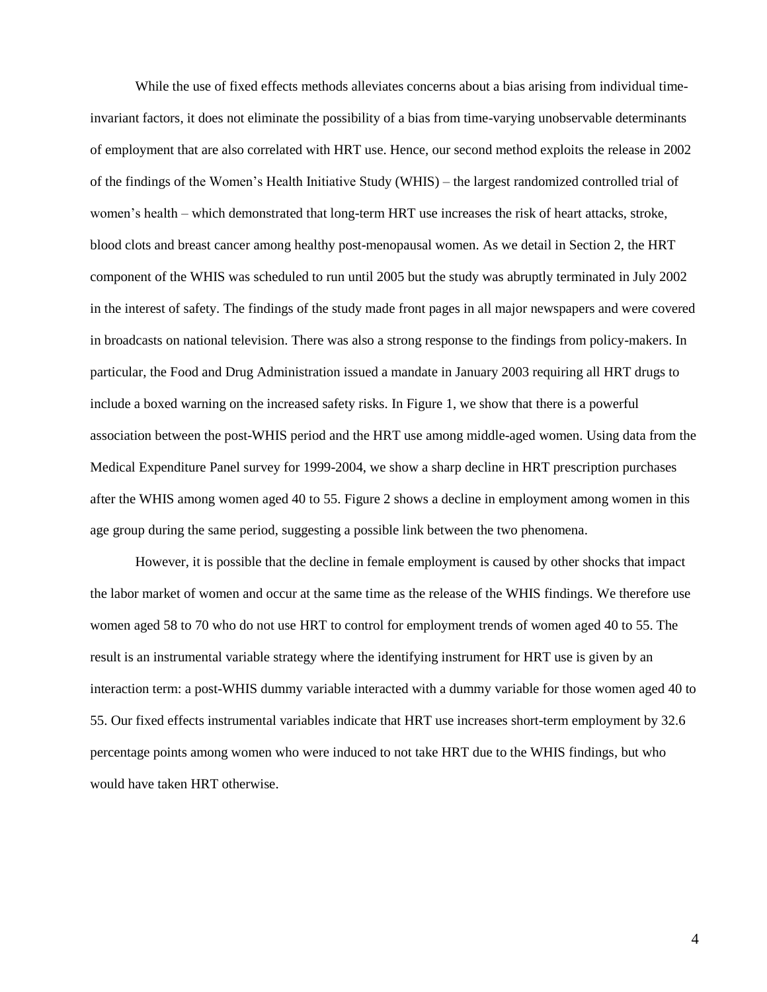While the use of fixed effects methods alleviates concerns about a bias arising from individual timeinvariant factors, it does not eliminate the possibility of a bias from time-varying unobservable determinants of employment that are also correlated with HRT use. Hence, our second method exploits the release in 2002 of the findings of the Women's Health Initiative Study (WHIS) – the largest randomized controlled trial of women's health – which demonstrated that long-term HRT use increases the risk of heart attacks, stroke, blood clots and breast cancer among healthy post-menopausal women. As we detail in Section 2, the HRT component of the WHIS was scheduled to run until 2005 but the study was abruptly terminated in July 2002 in the interest of safety. The findings of the study made front pages in all major newspapers and were covered in broadcasts on national television. There was also a strong response to the findings from policy-makers. In particular, the Food and Drug Administration issued a mandate in January 2003 requiring all HRT drugs to include a boxed warning on the increased safety risks. In Figure 1, we show that there is a powerful association between the post-WHIS period and the HRT use among middle-aged women. Using data from the Medical Expenditure Panel survey for 1999-2004, we show a sharp decline in HRT prescription purchases after the WHIS among women aged 40 to 55. Figure 2 shows a decline in employment among women in this age group during the same period, suggesting a possible link between the two phenomena.

However, it is possible that the decline in female employment is caused by other shocks that impact the labor market of women and occur at the same time as the release of the WHIS findings. We therefore use women aged 58 to 70 who do not use HRT to control for employment trends of women aged 40 to 55. The result is an instrumental variable strategy where the identifying instrument for HRT use is given by an interaction term: a post-WHIS dummy variable interacted with a dummy variable for those women aged 40 to 55. Our fixed effects instrumental variables indicate that HRT use increases short-term employment by 32.6 percentage points among women who were induced to not take HRT due to the WHIS findings, but who would have taken HRT otherwise.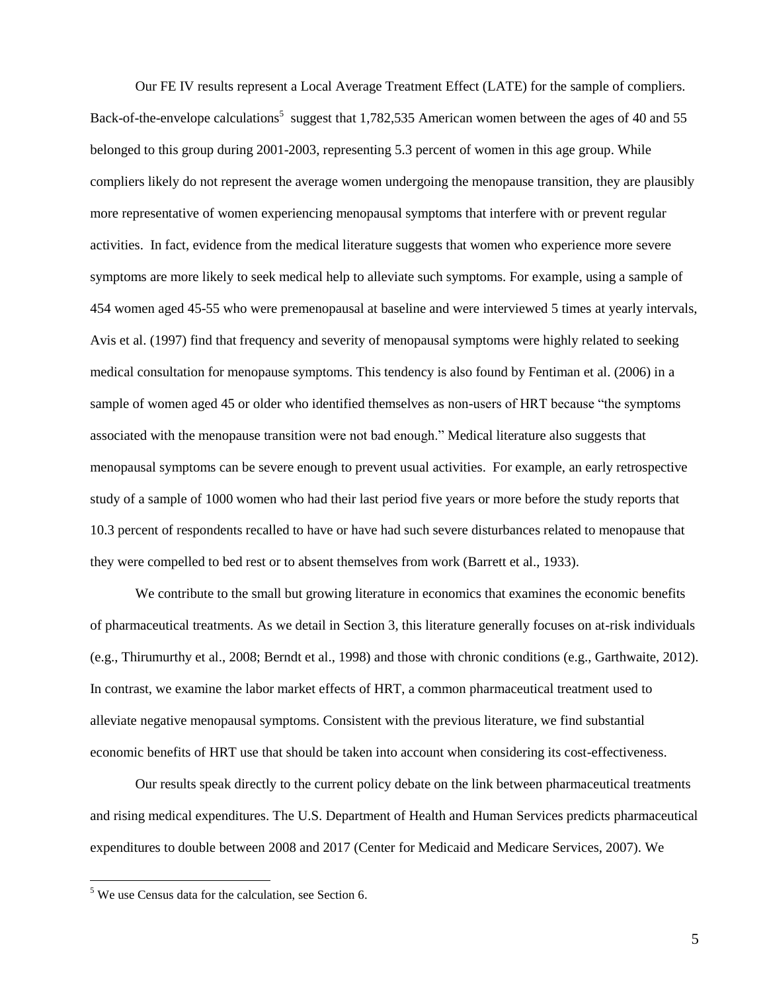Our FE IV results represent a Local Average Treatment Effect (LATE) for the sample of compliers. Back-of-the-envelope calculations<sup>5</sup> suggest that 1,782,535 American women between the ages of 40 and 55 belonged to this group during 2001-2003, representing 5.3 percent of women in this age group. While compliers likely do not represent the average women undergoing the menopause transition, they are plausibly more representative of women experiencing menopausal symptoms that interfere with or prevent regular activities. In fact, evidence from the medical literature suggests that women who experience more severe symptoms are more likely to seek medical help to alleviate such symptoms. For example, using a sample of 454 women aged 45-55 who were premenopausal at baseline and were interviewed 5 times at yearly intervals, Avis et al. (1997) find that frequency and severity of menopausal symptoms were highly related to seeking medical consultation for menopause symptoms. This tendency is also found by Fentiman et al. (2006) in a sample of women aged 45 or older who identified themselves as non-users of HRT because "the symptoms associated with the menopause transition were not bad enough." Medical literature also suggests that menopausal symptoms can be severe enough to prevent usual activities. For example, an early retrospective study of a sample of 1000 women who had their last period five years or more before the study reports that 10.3 percent of respondents recalled to have or have had such severe disturbances related to menopause that they were compelled to bed rest or to absent themselves from work (Barrett et al., 1933).

We contribute to the small but growing literature in economics that examines the economic benefits of pharmaceutical treatments. As we detail in Section 3, this literature generally focuses on at-risk individuals (e.g., Thirumurthy et al., 2008; Berndt et al., 1998) and those with chronic conditions (e.g., Garthwaite, 2012). In contrast, we examine the labor market effects of HRT, a common pharmaceutical treatment used to alleviate negative menopausal symptoms. Consistent with the previous literature, we find substantial economic benefits of HRT use that should be taken into account when considering its cost-effectiveness.

Our results speak directly to the current policy debate on the link between pharmaceutical treatments and rising medical expenditures. The U.S. Department of Health and Human Services predicts pharmaceutical expenditures to double between 2008 and 2017 (Center for Medicaid and Medicare Services, 2007). We

 $\overline{\phantom{a}}$ 

 $<sup>5</sup>$  We use Census data for the calculation, see Section 6.</sup>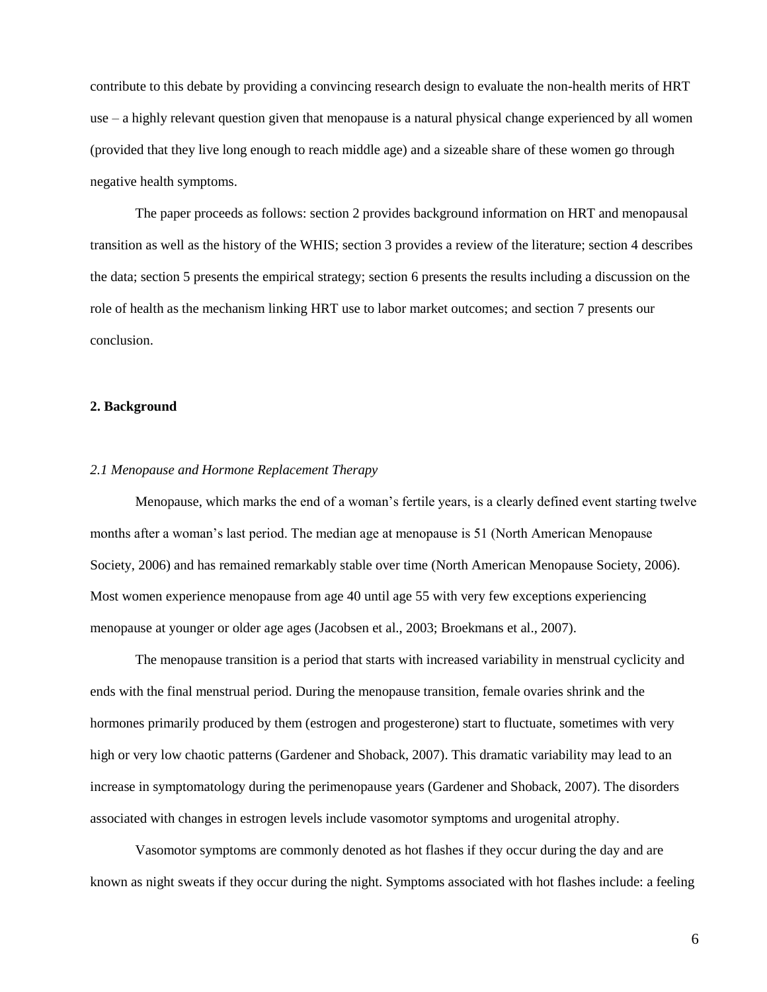contribute to this debate by providing a convincing research design to evaluate the non-health merits of HRT use – a highly relevant question given that menopause is a natural physical change experienced by all women (provided that they live long enough to reach middle age) and a sizeable share of these women go through negative health symptoms.

The paper proceeds as follows: section 2 provides background information on HRT and menopausal transition as well as the history of the WHIS; section 3 provides a review of the literature; section 4 describes the data; section 5 presents the empirical strategy; section 6 presents the results including a discussion on the role of health as the mechanism linking HRT use to labor market outcomes; and section 7 presents our conclusion.

#### **2. Background**

#### *2.1 Menopause and Hormone Replacement Therapy*

Menopause, which marks the end of a woman's fertile years, is a clearly defined event starting twelve months after a woman's last period. The median age at menopause is 51 (North American Menopause Society, 2006) and has remained remarkably stable over time (North American Menopause Society, 2006). Most women experience menopause from age 40 until age 55 with very few exceptions experiencing menopause at younger or older age ages (Jacobsen et al., 2003; Broekmans et al., 2007).

The menopause transition is a period that starts with increased variability in menstrual cyclicity and ends with the final menstrual period. During the menopause transition, female ovaries shrink and the hormones primarily produced by them (estrogen and progesterone) start to fluctuate, sometimes with very high or very low chaotic patterns (Gardener and Shoback, 2007). This dramatic variability may lead to an increase in symptomatology during the perimenopause years (Gardener and Shoback, 2007). The disorders associated with changes in estrogen levels include vasomotor symptoms and urogenital atrophy.

Vasomotor symptoms are commonly denoted as hot flashes if they occur during the day and are known as night sweats if they occur during the night. Symptoms associated with hot flashes include: a feeling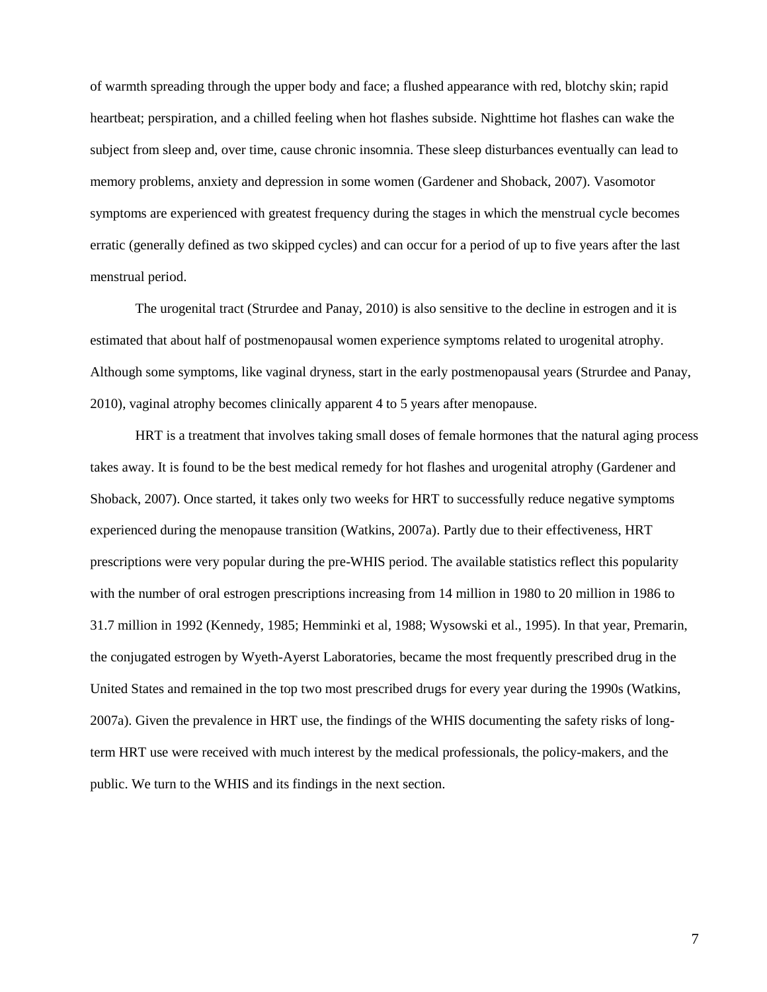of warmth spreading through the upper body and face; a flushed appearance with red, blotchy skin; rapid heartbeat; perspiration, and a chilled feeling when hot flashes subside. Nighttime hot flashes can wake the subject from sleep and, over time, cause chronic insomnia. These sleep disturbances eventually can lead to memory problems, anxiety and depression in some women (Gardener and Shoback, 2007). Vasomotor symptoms are experienced with greatest frequency during the stages in which the menstrual cycle becomes erratic (generally defined as two skipped cycles) and can occur for a period of up to five years after the last menstrual period.

The urogenital tract (Strurdee and Panay, 2010) is also sensitive to the decline in estrogen and it is estimated that about half of postmenopausal women experience symptoms related to urogenital atrophy. Although some symptoms, like vaginal dryness, start in the early postmenopausal years (Strurdee and Panay, 2010), vaginal atrophy becomes clinically apparent 4 to 5 years after menopause.

HRT is a treatment that involves taking small doses of female hormones that the natural aging process takes away. It is found to be the best medical remedy for hot flashes and urogenital atrophy (Gardener and Shoback, 2007). Once started, it takes only two weeks for HRT to successfully reduce negative symptoms experienced during the menopause transition (Watkins, 2007a). Partly due to their effectiveness, HRT prescriptions were very popular during the pre-WHIS period. The available statistics reflect this popularity with the number of oral estrogen prescriptions increasing from 14 million in 1980 to 20 million in 1986 to 31.7 million in 1992 (Kennedy, 1985; Hemminki et al, 1988; Wysowski et al., 1995). In that year, Premarin, the conjugated estrogen by Wyeth-Ayerst Laboratories, became the most frequently prescribed drug in the United States and remained in the top two most prescribed drugs for every year during the 1990s (Watkins, 2007a). Given the prevalence in HRT use, the findings of the WHIS documenting the safety risks of longterm HRT use were received with much interest by the medical professionals, the policy-makers, and the public. We turn to the WHIS and its findings in the next section.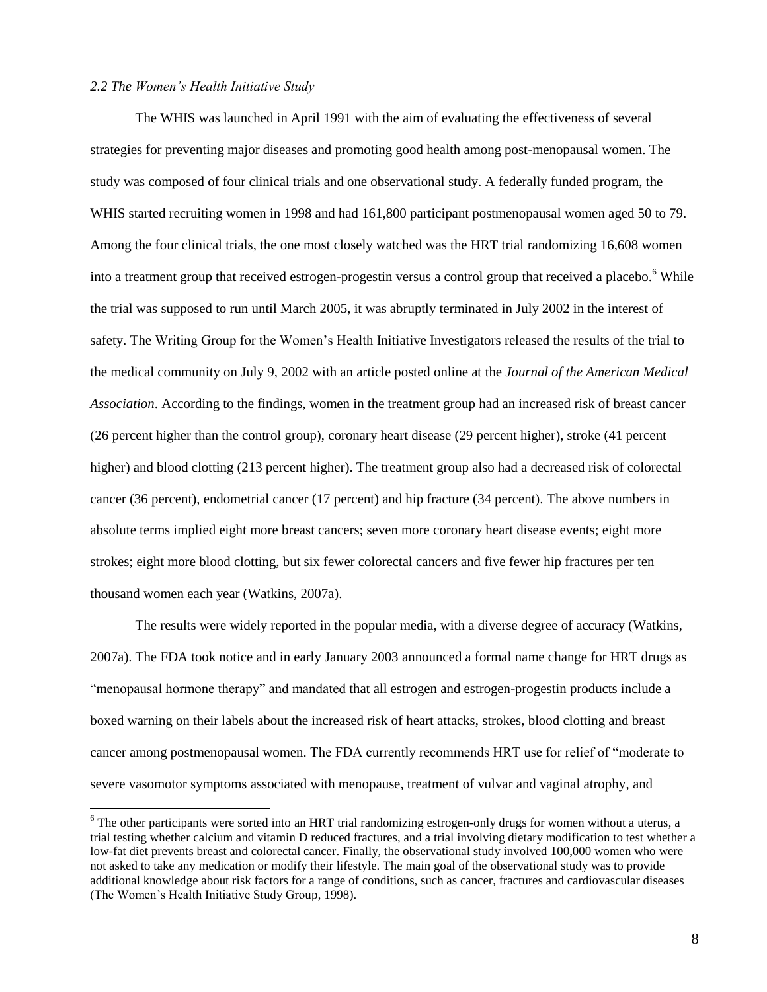#### *2.2 The Women's Health Initiative Study*

l

The WHIS was launched in April 1991 with the aim of evaluating the effectiveness of several strategies for preventing major diseases and promoting good health among post-menopausal women. The study was composed of four clinical trials and one observational study. A federally funded program, the WHIS started recruiting women in 1998 and had 161,800 participant postmenopausal women aged 50 to 79. Among the four clinical trials, the one most closely watched was the HRT trial randomizing 16,608 women into a treatment group that received estrogen-progestin versus a control group that received a placebo.<sup>6</sup> While the trial was supposed to run until March 2005, it was abruptly terminated in July 2002 in the interest of safety. The Writing Group for the Women's Health Initiative Investigators released the results of the trial to the medical community on July 9, 2002 with an article posted online at the *Journal of the American Medical Association*. According to the findings, women in the treatment group had an increased risk of breast cancer (26 percent higher than the control group), coronary heart disease (29 percent higher), stroke (41 percent higher) and blood clotting (213 percent higher). The treatment group also had a decreased risk of colorectal cancer (36 percent), endometrial cancer (17 percent) and hip fracture (34 percent). The above numbers in absolute terms implied eight more breast cancers; seven more coronary heart disease events; eight more strokes; eight more blood clotting, but six fewer colorectal cancers and five fewer hip fractures per ten thousand women each year (Watkins, 2007a).

The results were widely reported in the popular media, with a diverse degree of accuracy (Watkins, 2007a). The FDA took notice and in early January 2003 announced a formal name change for HRT drugs as "menopausal hormone therapy" and mandated that all estrogen and estrogen-progestin products include a boxed warning on their labels about the increased risk of heart attacks, strokes, blood clotting and breast cancer among postmenopausal women. The FDA currently recommends HRT use for relief of "moderate to severe vasomotor symptoms associated with menopause, treatment of vulvar and vaginal atrophy, and

<sup>&</sup>lt;sup>6</sup> The other participants were sorted into an HRT trial randomizing estrogen-only drugs for women without a uterus, a trial testing whether calcium and vitamin D reduced fractures, and a trial involving dietary modification to test whether a low-fat diet prevents breast and colorectal cancer. Finally, the observational study involved 100,000 women who were not asked to take any medication or modify their lifestyle. The main goal of the observational study was to provide additional knowledge about risk factors for a range of conditions, such as cancer, fractures and cardiovascular diseases (The Women's Health Initiative Study Group, 1998).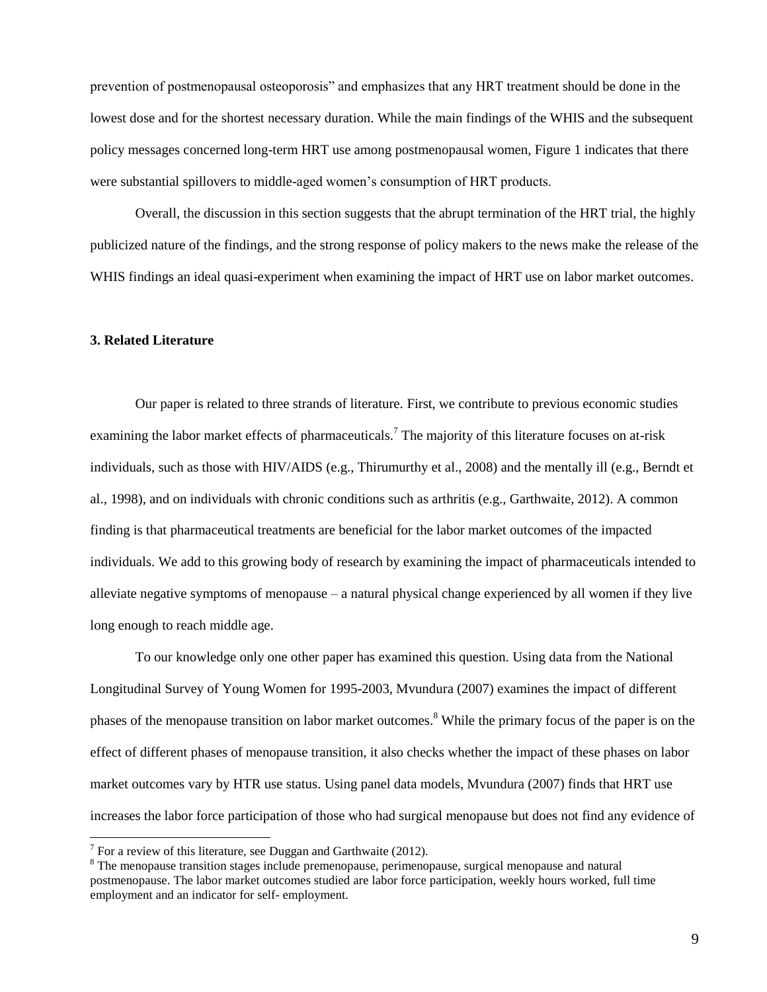prevention of postmenopausal osteoporosis" and emphasizes that any HRT treatment should be done in the lowest dose and for the shortest necessary duration. While the main findings of the WHIS and the subsequent policy messages concerned long-term HRT use among postmenopausal women, Figure 1 indicates that there were substantial spillovers to middle-aged women's consumption of HRT products.

Overall, the discussion in this section suggests that the abrupt termination of the HRT trial, the highly publicized nature of the findings, and the strong response of policy makers to the news make the release of the WHIS findings an ideal quasi-experiment when examining the impact of HRT use on labor market outcomes.

#### **3. Related Literature**

Our paper is related to three strands of literature. First, we contribute to previous economic studies examining the labor market effects of pharmaceuticals.<sup>7</sup> The majority of this literature focuses on at-risk individuals, such as those with HIV/AIDS (e.g., Thirumurthy et al., 2008) and the mentally ill (e.g., Berndt et al., 1998), and on individuals with chronic conditions such as arthritis (e.g., Garthwaite, 2012). A common finding is that pharmaceutical treatments are beneficial for the labor market outcomes of the impacted individuals. We add to this growing body of research by examining the impact of pharmaceuticals intended to alleviate negative symptoms of menopause – a natural physical change experienced by all women if they live long enough to reach middle age.

To our knowledge only one other paper has examined this question. Using data from the National Longitudinal Survey of Young Women for 1995-2003, Mvundura (2007) examines the impact of different phases of the menopause transition on labor market outcomes.<sup>8</sup> While the primary focus of the paper is on the effect of different phases of menopause transition, it also checks whether the impact of these phases on labor market outcomes vary by HTR use status. Using panel data models, Mvundura (2007) finds that HRT use increases the labor force participation of those who had surgical menopause but does not find any evidence of

<sup>&</sup>lt;sup>7</sup> For a review of this literature, see Duggan and Garthwaite (2012).

<sup>&</sup>lt;sup>8</sup> The menopause transition stages include premenopause, perimenopause, surgical menopause and natural postmenopause. The labor market outcomes studied are labor force participation, weekly hours worked, full time employment and an indicator for self- employment.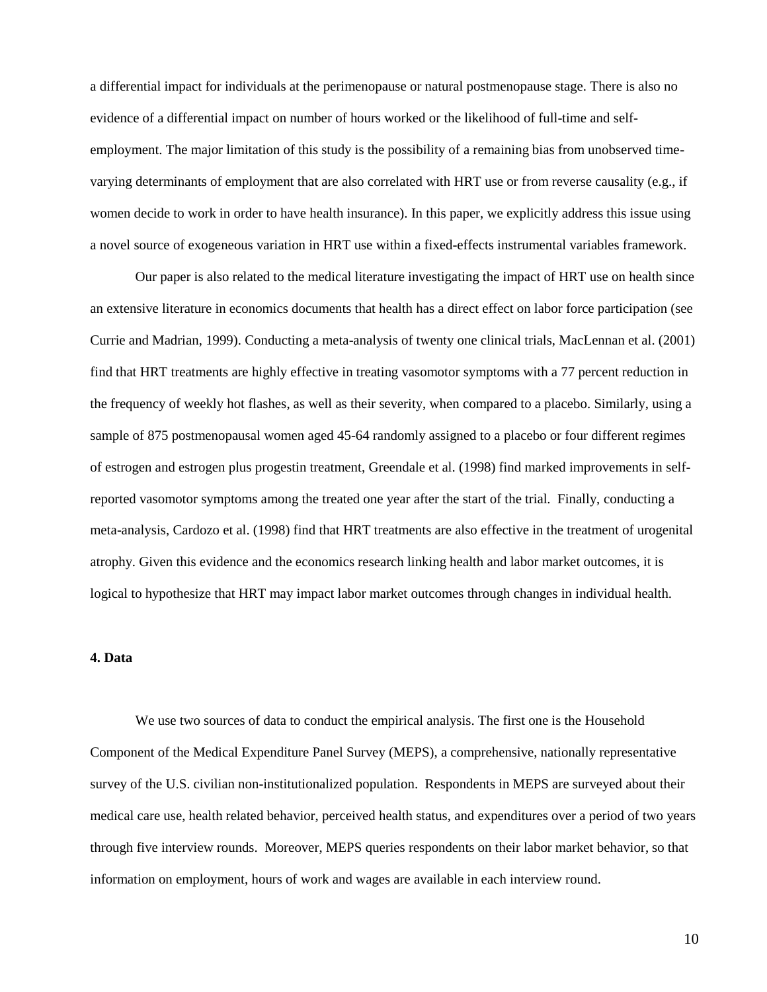a differential impact for individuals at the perimenopause or natural postmenopause stage. There is also no evidence of a differential impact on number of hours worked or the likelihood of full-time and selfemployment. The major limitation of this study is the possibility of a remaining bias from unobserved timevarying determinants of employment that are also correlated with HRT use or from reverse causality (e.g., if women decide to work in order to have health insurance). In this paper, we explicitly address this issue using a novel source of exogeneous variation in HRT use within a fixed-effects instrumental variables framework.

Our paper is also related to the medical literature investigating the impact of HRT use on health since an extensive literature in economics documents that health has a direct effect on labor force participation (see Currie and Madrian, 1999). Conducting a meta-analysis of twenty one clinical trials, MacLennan et al. (2001) find that HRT treatments are highly effective in treating vasomotor symptoms with a 77 percent reduction in the frequency of weekly hot flashes, as well as their severity, when compared to a placebo. Similarly, using a sample of 875 postmenopausal women aged 45-64 randomly assigned to a placebo or four different regimes of estrogen and estrogen plus progestin treatment, Greendale et al. (1998) find marked improvements in selfreported vasomotor symptoms among the treated one year after the start of the trial. Finally, conducting a meta-analysis, Cardozo et al. (1998) find that HRT treatments are also effective in the treatment of urogenital atrophy. Given this evidence and the economics research linking health and labor market outcomes, it is logical to hypothesize that HRT may impact labor market outcomes through changes in individual health.

#### **4. Data**

We use two sources of data to conduct the empirical analysis. The first one is the Household Component of the Medical Expenditure Panel Survey (MEPS), a comprehensive, nationally representative survey of the U.S. civilian non-institutionalized population. Respondents in MEPS are surveyed about their medical care use, health related behavior, perceived health status, and expenditures over a period of two years through five interview rounds. Moreover, MEPS queries respondents on their labor market behavior, so that information on employment, hours of work and wages are available in each interview round.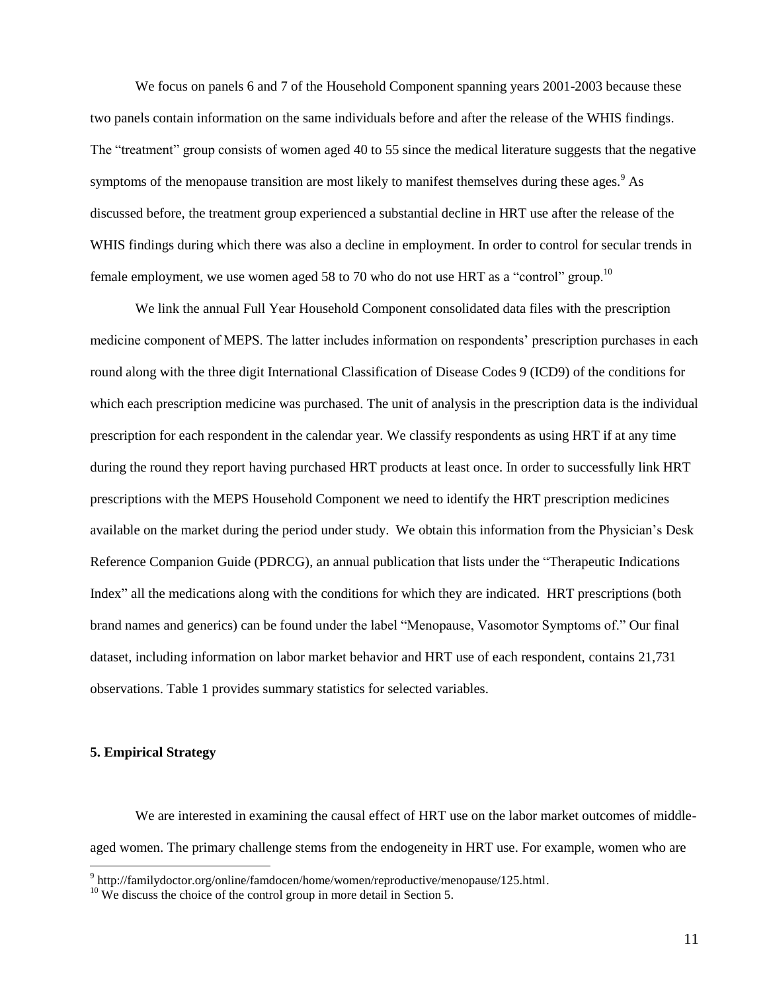We focus on panels 6 and 7 of the Household Component spanning years 2001-2003 because these two panels contain information on the same individuals before and after the release of the WHIS findings. The "treatment" group consists of women aged 40 to 55 since the medical literature suggests that the negative symptoms of the menopause transition are most likely to manifest themselves during these ages.<sup>9</sup> As discussed before, the treatment group experienced a substantial decline in HRT use after the release of the WHIS findings during which there was also a decline in employment. In order to control for secular trends in female employment, we use women aged 58 to 70 who do not use HRT as a "control" group.<sup>10</sup>

We link the annual Full Year Household Component consolidated data files with the prescription medicine component of MEPS. The latter includes information on respondents' prescription purchases in each round along with the three digit International Classification of Disease Codes 9 (ICD9) of the conditions for which each prescription medicine was purchased. The unit of analysis in the prescription data is the individual prescription for each respondent in the calendar year. We classify respondents as using HRT if at any time during the round they report having purchased HRT products at least once. In order to successfully link HRT prescriptions with the MEPS Household Component we need to identify the HRT prescription medicines available on the market during the period under study. We obtain this information from the Physician's Desk Reference Companion Guide (PDRCG), an annual publication that lists under the "Therapeutic Indications Index" all the medications along with the conditions for which they are indicated. HRT prescriptions (both brand names and generics) can be found under the label "Menopause, Vasomotor Symptoms of." Our final dataset, including information on labor market behavior and HRT use of each respondent, contains 21,731 observations. Table 1 provides summary statistics for selected variables.

#### **5. Empirical Strategy**

We are interested in examining the causal effect of HRT use on the labor market outcomes of middleaged women. The primary challenge stems from the endogeneity in HRT use. For example, women who are

 9 http://familydoctor.org/online/famdocen/home/women/reproductive/menopause/125.html.

 $10$  We discuss the choice of the control group in more detail in Section 5.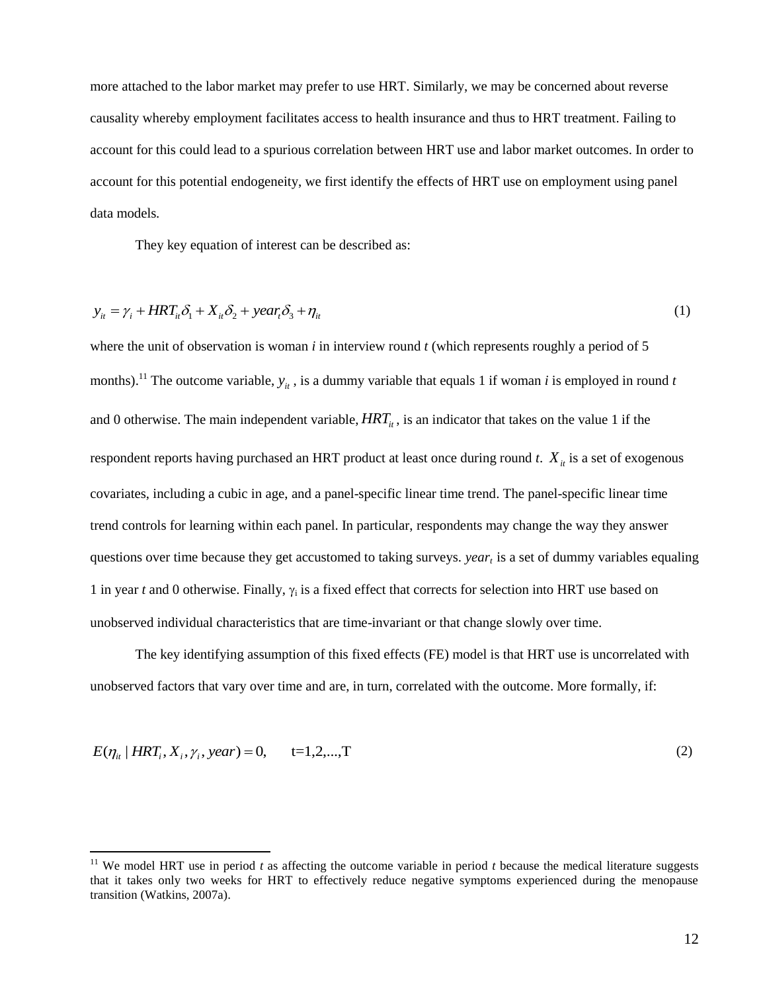more attached to the labor market may prefer to use HRT. Similarly, we may be concerned about reverse causality whereby employment facilitates access to health insurance and thus to HRT treatment. Failing to account for this could lead to a spurious correlation between HRT use and labor market outcomes. In order to account for this potential endogeneity, we first identify the effects of HRT use on employment using panel data models*.*

They key equation of interest can be described as:

 $\overline{\phantom{a}}$ 

$$
y_{it} = \gamma_i + HRT_{it}\delta_1 + X_{it}\delta_2 + \text{year}_i\delta_3 + \eta_{it}
$$
\n(1)

where the unit of observation is woman *i* in interview round *t* (which represents roughly a period of 5 months).<sup>11</sup> The outcome variable,  $y_{it}$ , is a dummy variable that equals 1 if woman *i* is employed in round *t* and 0 otherwise. The main independent variable,  $HRT_{it}$ , is an indicator that takes on the value 1 if the respondent reports having purchased an HRT product at least once during round  $t$ .  $X_{it}$  is a set of exogenous covariates, including a cubic in age, and a panel-specific linear time trend. The panel-specific linear time trend controls for learning within each panel. In particular, respondents may change the way they answer questions over time because they get accustomed to taking surveys. *year<sup>t</sup>* is a set of dummy variables equaling 1 in year  $t$  and 0 otherwise. Finally,  $\gamma_i$  is a fixed effect that corrects for selection into HRT use based on unobserved individual characteristics that are time-invariant or that change slowly over time.

The key identifying assumption of this fixed effects (FE) model is that HRT use is uncorrelated with unobserved factors that vary over time and are, in turn, correlated with the outcome. More formally, if:

$$
E(\eta_{it} | HRT_i, X_i, \gamma_i, year) = 0, \qquad t = 1, 2, ..., T
$$
 (2)

<sup>&</sup>lt;sup>11</sup> We model HRT use in period  $t$  as affecting the outcome variable in period  $t$  because the medical literature suggests that it takes only two weeks for HRT to effectively reduce negative symptoms experienced during the menopause transition (Watkins, 2007a).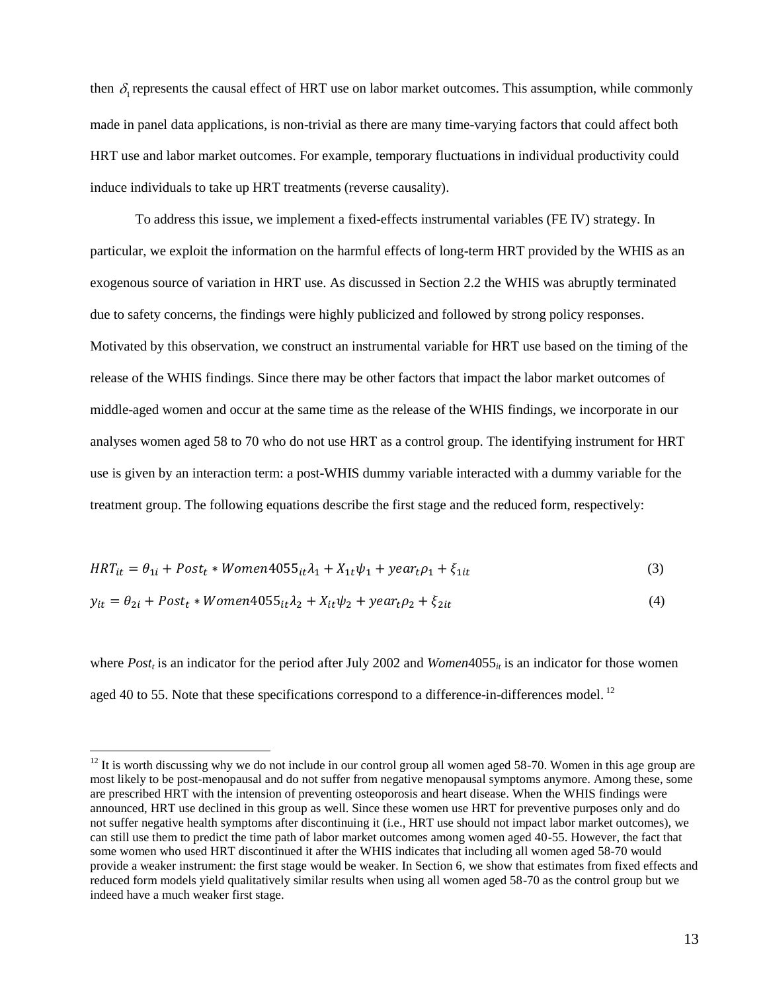then  $\delta_1$  represents the causal effect of HRT use on labor market outcomes. This assumption, while commonly made in panel data applications, is non-trivial as there are many time-varying factors that could affect both HRT use and labor market outcomes. For example, temporary fluctuations in individual productivity could induce individuals to take up HRT treatments (reverse causality).

To address this issue, we implement a fixed-effects instrumental variables (FE IV) strategy. In particular, we exploit the information on the harmful effects of long-term HRT provided by the WHIS as an exogenous source of variation in HRT use. As discussed in Section 2.2 the WHIS was abruptly terminated due to safety concerns, the findings were highly publicized and followed by strong policy responses. Motivated by this observation, we construct an instrumental variable for HRT use based on the timing of the release of the WHIS findings. Since there may be other factors that impact the labor market outcomes of middle-aged women and occur at the same time as the release of the WHIS findings, we incorporate in our analyses women aged 58 to 70 who do not use HRT as a control group. The identifying instrument for HRT use is given by an interaction term: a post-WHIS dummy variable interacted with a dummy variable for the treatment group. The following equations describe the first stage and the reduced form, respectively:

$$
HRT_{it} = \theta_{1i} + Post_t * Women4055_{it}\lambda_1 + X_{1t}\psi_1 + year_t\rho_1 + \xi_{1it}
$$
\n(3)

$$
y_{it} = \theta_{2i} + Post_t * Women4055_{it} \lambda_2 + X_{it} \psi_2 + year_t \rho_2 + \xi_{2it}
$$
(4)

where *Post<sub>t</sub>* is an indicator for the period after July 2002 and *Women*4055<sub>*it*</sub> is an indicator for those women aged 40 to 55. Note that these specifications correspond to a difference-in-differences model.<sup>12</sup>

 $\overline{\phantom{a}}$ 

 $12$  It is worth discussing why we do not include in our control group all women aged 58-70. Women in this age group are most likely to be post-menopausal and do not suffer from negative menopausal symptoms anymore. Among these, some are prescribed HRT with the intension of preventing osteoporosis and heart disease. When the WHIS findings were announced, HRT use declined in this group as well. Since these women use HRT for preventive purposes only and do not suffer negative health symptoms after discontinuing it (i.e., HRT use should not impact labor market outcomes), we can still use them to predict the time path of labor market outcomes among women aged 40-55. However, the fact that some women who used HRT discontinued it after the WHIS indicates that including all women aged 58-70 would provide a weaker instrument: the first stage would be weaker. In Section 6, we show that estimates from fixed effects and reduced form models yield qualitatively similar results when using all women aged 58-70 as the control group but we indeed have a much weaker first stage.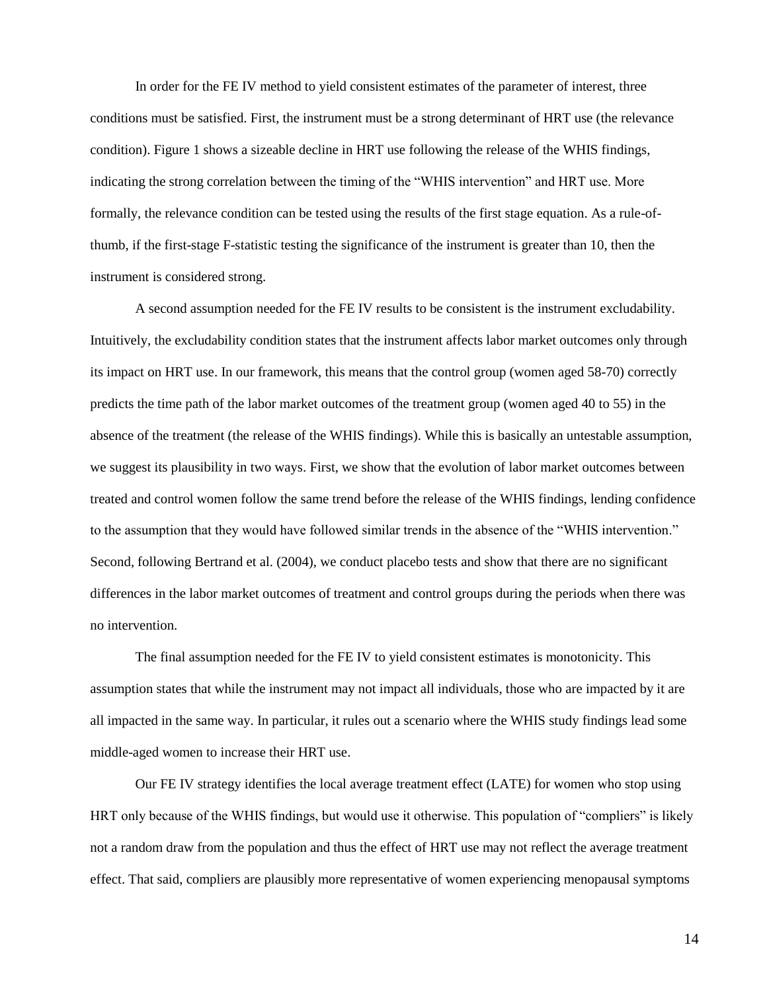In order for the FE IV method to yield consistent estimates of the parameter of interest, three conditions must be satisfied. First, the instrument must be a strong determinant of HRT use (the relevance condition). Figure 1 shows a sizeable decline in HRT use following the release of the WHIS findings, indicating the strong correlation between the timing of the "WHIS intervention" and HRT use. More formally, the relevance condition can be tested using the results of the first stage equation. As a rule-ofthumb, if the first-stage F-statistic testing the significance of the instrument is greater than 10, then the instrument is considered strong.

A second assumption needed for the FE IV results to be consistent is the instrument excludability. Intuitively, the excludability condition states that the instrument affects labor market outcomes only through its impact on HRT use. In our framework, this means that the control group (women aged 58-70) correctly predicts the time path of the labor market outcomes of the treatment group (women aged 40 to 55) in the absence of the treatment (the release of the WHIS findings). While this is basically an untestable assumption, we suggest its plausibility in two ways. First, we show that the evolution of labor market outcomes between treated and control women follow the same trend before the release of the WHIS findings, lending confidence to the assumption that they would have followed similar trends in the absence of the "WHIS intervention." Second, following Bertrand et al. (2004), we conduct placebo tests and show that there are no significant differences in the labor market outcomes of treatment and control groups during the periods when there was no intervention.

The final assumption needed for the FE IV to yield consistent estimates is monotonicity. This assumption states that while the instrument may not impact all individuals, those who are impacted by it are all impacted in the same way. In particular, it rules out a scenario where the WHIS study findings lead some middle-aged women to increase their HRT use.

Our FE IV strategy identifies the local average treatment effect (LATE) for women who stop using HRT only because of the WHIS findings, but would use it otherwise. This population of "compliers" is likely not a random draw from the population and thus the effect of HRT use may not reflect the average treatment effect. That said, compliers are plausibly more representative of women experiencing menopausal symptoms

14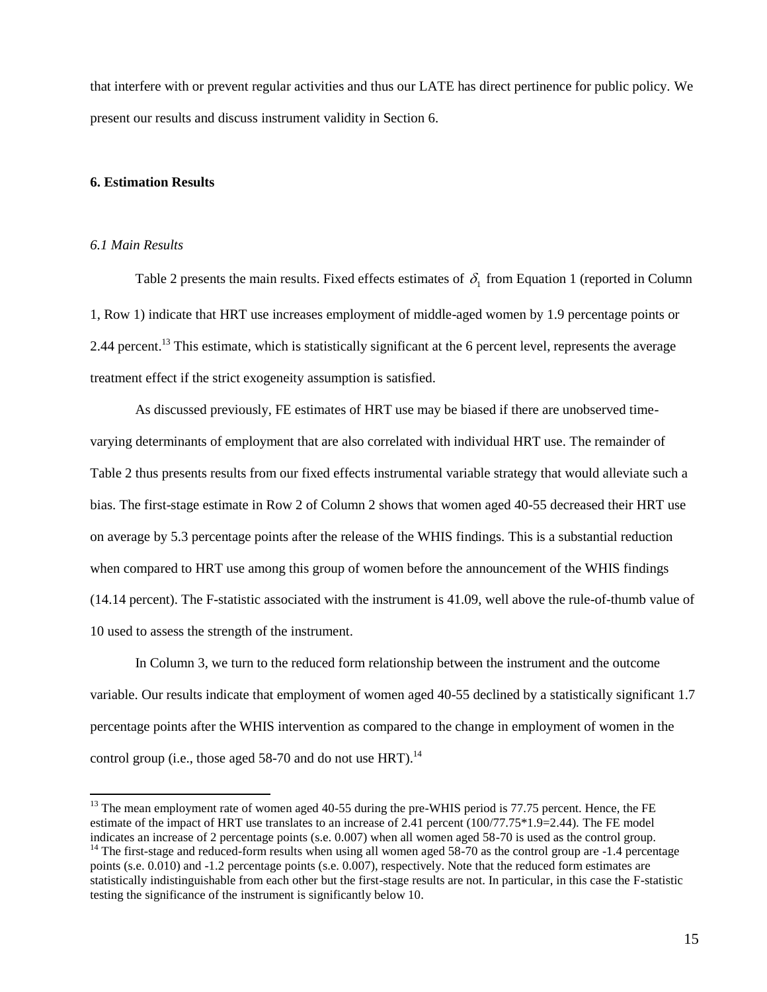that interfere with or prevent regular activities and thus our LATE has direct pertinence for public policy. We present our results and discuss instrument validity in Section 6.

#### **6. Estimation Results**

#### *6.1 Main Results*

 $\overline{\phantom{a}}$ 

Table 2 presents the main results. Fixed effects estimates of  $\delta_1$  from Equation 1 (reported in Column 1, Row 1) indicate that HRT use increases employment of middle-aged women by 1.9 percentage points or 2.44 percent.<sup>13</sup> This estimate, which is statistically significant at the 6 percent level, represents the average treatment effect if the strict exogeneity assumption is satisfied.

As discussed previously, FE estimates of HRT use may be biased if there are unobserved timevarying determinants of employment that are also correlated with individual HRT use. The remainder of Table 2 thus presents results from our fixed effects instrumental variable strategy that would alleviate such a bias. The first-stage estimate in Row 2 of Column 2 shows that women aged 40-55 decreased their HRT use on average by 5.3 percentage points after the release of the WHIS findings. This is a substantial reduction when compared to HRT use among this group of women before the announcement of the WHIS findings (14.14 percent). The F-statistic associated with the instrument is 41.09, well above the rule-of-thumb value of 10 used to assess the strength of the instrument.

In Column 3, we turn to the reduced form relationship between the instrument and the outcome variable. Our results indicate that employment of women aged 40-55 declined by a statistically significant 1.7 percentage points after the WHIS intervention as compared to the change in employment of women in the control group (i.e., those aged 58-70 and do not use HRT).<sup>14</sup>

 $13$  The mean employment rate of women aged 40-55 during the pre-WHIS period is 77.75 percent. Hence, the FE estimate of the impact of HRT use translates to an increase of 2.41 percent (100/77.75\*1.9=2.44). The FE model indicates an increase of 2 percentage points (s.e. 0.007) when all women aged 58-70 is used as the control group.

 $14$  The first-stage and reduced-form results when using all women aged 58-70 as the control group are  $-1.4$  percentage points (s.e. 0.010) and -1.2 percentage points (s.e. 0.007), respectively. Note that the reduced form estimates are statistically indistinguishable from each other but the first-stage results are not. In particular, in this case the F-statistic testing the significance of the instrument is significantly below 10.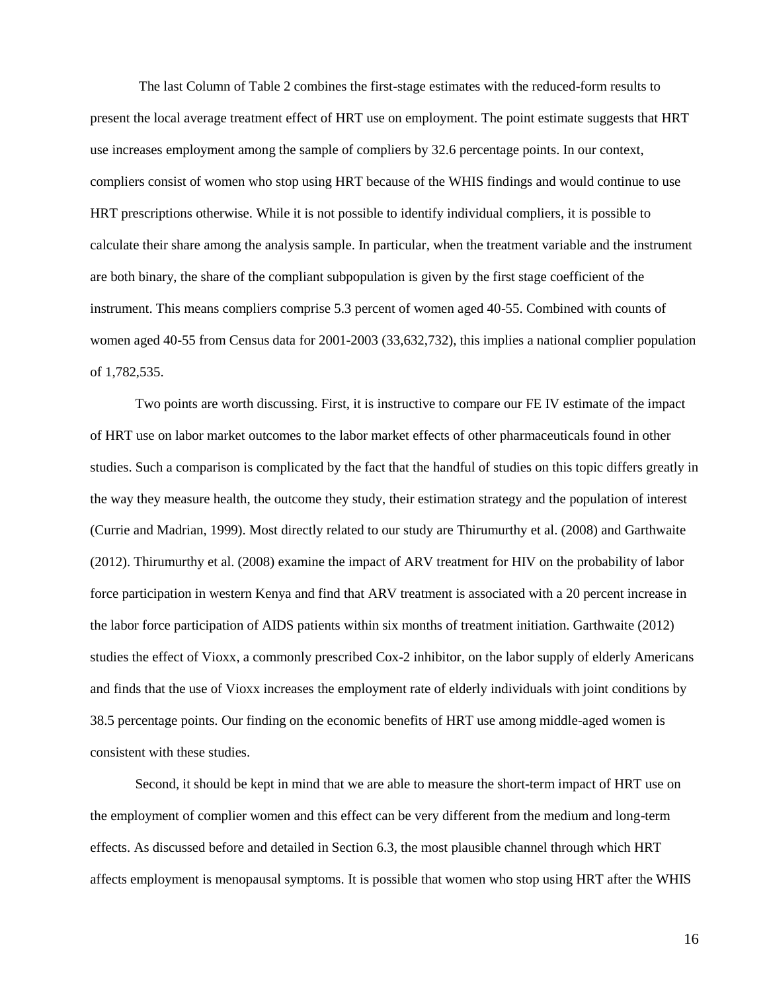The last Column of Table 2 combines the first-stage estimates with the reduced-form results to present the local average treatment effect of HRT use on employment. The point estimate suggests that HRT use increases employment among the sample of compliers by 32.6 percentage points. In our context, compliers consist of women who stop using HRT because of the WHIS findings and would continue to use HRT prescriptions otherwise. While it is not possible to identify individual compliers, it is possible to calculate their share among the analysis sample. In particular, when the treatment variable and the instrument are both binary, the share of the compliant subpopulation is given by the first stage coefficient of the instrument. This means compliers comprise 5.3 percent of women aged 40-55. Combined with counts of women aged 40-55 from Census data for 2001-2003 (33,632,732), this implies a national complier population of 1,782,535.

Two points are worth discussing. First, it is instructive to compare our FE IV estimate of the impact of HRT use on labor market outcomes to the labor market effects of other pharmaceuticals found in other studies. Such a comparison is complicated by the fact that the handful of studies on this topic differs greatly in the way they measure health, the outcome they study, their estimation strategy and the population of interest (Currie and Madrian, 1999). Most directly related to our study are Thirumurthy et al. (2008) and Garthwaite (2012). Thirumurthy et al. (2008) examine the impact of ARV treatment for HIV on the probability of labor force participation in western Kenya and find that ARV treatment is associated with a 20 percent increase in the labor force participation of AIDS patients within six months of treatment initiation. Garthwaite (2012) studies the effect of Vioxx, a commonly prescribed Cox-2 inhibitor, on the labor supply of elderly Americans and finds that the use of Vioxx increases the employment rate of elderly individuals with joint conditions by 38.5 percentage points. Our finding on the economic benefits of HRT use among middle-aged women is consistent with these studies.

Second, it should be kept in mind that we are able to measure the short-term impact of HRT use on the employment of complier women and this effect can be very different from the medium and long-term effects. As discussed before and detailed in Section 6.3, the most plausible channel through which HRT affects employment is menopausal symptoms. It is possible that women who stop using HRT after the WHIS

16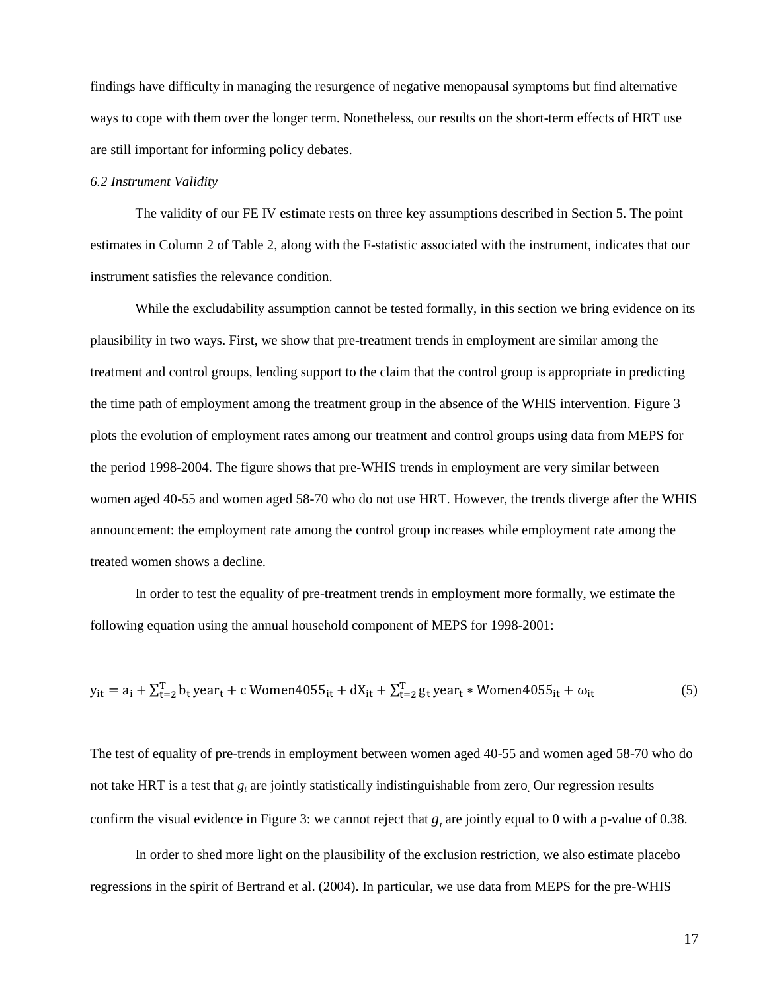findings have difficulty in managing the resurgence of negative menopausal symptoms but find alternative ways to cope with them over the longer term. Nonetheless, our results on the short-term effects of HRT use are still important for informing policy debates.

#### *6.2 Instrument Validity*

The validity of our FE IV estimate rests on three key assumptions described in Section 5. The point estimates in Column 2 of Table 2, along with the F-statistic associated with the instrument, indicates that our instrument satisfies the relevance condition.

While the excludability assumption cannot be tested formally, in this section we bring evidence on its plausibility in two ways. First, we show that pre-treatment trends in employment are similar among the treatment and control groups, lending support to the claim that the control group is appropriate in predicting the time path of employment among the treatment group in the absence of the WHIS intervention. Figure 3 plots the evolution of employment rates among our treatment and control groups using data from MEPS for the period 1998-2004. The figure shows that pre-WHIS trends in employment are very similar between women aged 40-55 and women aged 58-70 who do not use HRT. However, the trends diverge after the WHIS announcement: the employment rate among the control group increases while employment rate among the treated women shows a decline.

In order to test the equality of pre-treatment trends in employment more formally, we estimate the following equation using the annual household component of MEPS for 1998-2001:

$$
y_{it} = a_i + \sum_{t=2}^{T} b_t y e a r_t + c \text{ Women4055}_{it} + dX_{it} + \sum_{t=2}^{T} g_t y e a r_t * \text{Women4055}_{it} + \omega_{it}
$$
 (5)

The test of equality of pre-trends in employment between women aged 40-55 and women aged 58-70 who do not take HRT is a test that *g<sup>t</sup>* are jointly statistically indistinguishable from zero. Our regression results confirm the visual evidence in Figure 3: we cannot reject that  $g_t$  are jointly equal to 0 with a p-value of 0.38.

In order to shed more light on the plausibility of the exclusion restriction, we also estimate placebo regressions in the spirit of Bertrand et al. (2004). In particular, we use data from MEPS for the pre-WHIS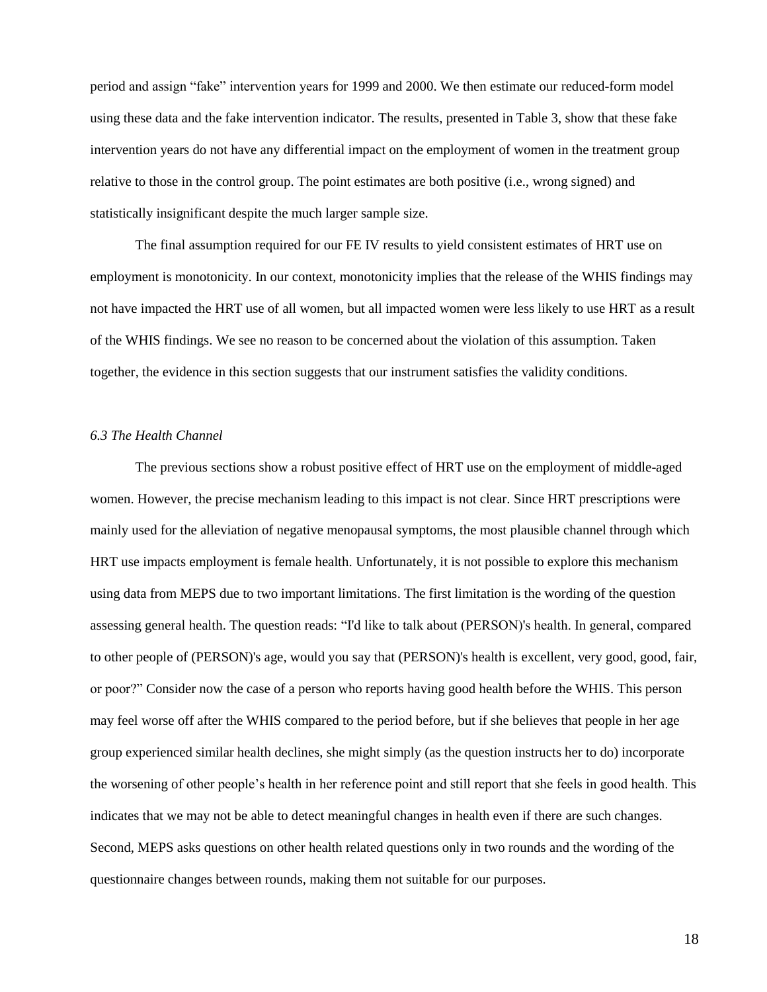period and assign "fake" intervention years for 1999 and 2000. We then estimate our reduced-form model using these data and the fake intervention indicator. The results, presented in Table 3, show that these fake intervention years do not have any differential impact on the employment of women in the treatment group relative to those in the control group. The point estimates are both positive (i.e., wrong signed) and statistically insignificant despite the much larger sample size.

The final assumption required for our FE IV results to yield consistent estimates of HRT use on employment is monotonicity. In our context, monotonicity implies that the release of the WHIS findings may not have impacted the HRT use of all women, but all impacted women were less likely to use HRT as a result of the WHIS findings. We see no reason to be concerned about the violation of this assumption. Taken together, the evidence in this section suggests that our instrument satisfies the validity conditions.

#### *6.3 The Health Channel*

The previous sections show a robust positive effect of HRT use on the employment of middle-aged women. However, the precise mechanism leading to this impact is not clear. Since HRT prescriptions were mainly used for the alleviation of negative menopausal symptoms, the most plausible channel through which HRT use impacts employment is female health. Unfortunately, it is not possible to explore this mechanism using data from MEPS due to two important limitations. The first limitation is the wording of the question assessing general health. The question reads: "I'd like to talk about (PERSON)'s health. In general, compared to other people of (PERSON)'s age, would you say that (PERSON)'s health is excellent, very good, good, fair, or poor?" Consider now the case of a person who reports having good health before the WHIS. This person may feel worse off after the WHIS compared to the period before, but if she believes that people in her age group experienced similar health declines, she might simply (as the question instructs her to do) incorporate the worsening of other people's health in her reference point and still report that she feels in good health. This indicates that we may not be able to detect meaningful changes in health even if there are such changes. Second, MEPS asks questions on other health related questions only in two rounds and the wording of the questionnaire changes between rounds, making them not suitable for our purposes.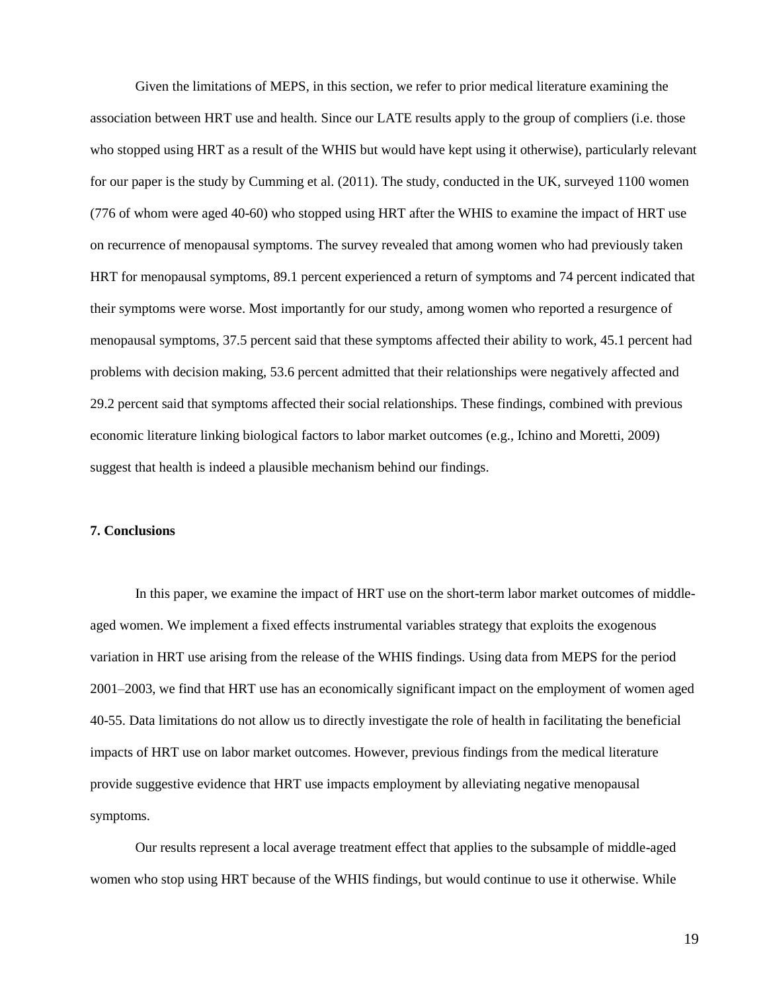Given the limitations of MEPS, in this section, we refer to prior medical literature examining the association between HRT use and health. Since our LATE results apply to the group of compliers (i.e. those who stopped using HRT as a result of the WHIS but would have kept using it otherwise), particularly relevant for our paper is the study by Cumming et al. (2011). The study, conducted in the UK, surveyed 1100 women (776 of whom were aged 40-60) who stopped using HRT after the WHIS to examine the impact of HRT use on recurrence of menopausal symptoms. The survey revealed that among women who had previously taken HRT for menopausal symptoms, 89.1 percent experienced a return of symptoms and 74 percent indicated that their symptoms were worse. Most importantly for our study, among women who reported a resurgence of menopausal symptoms, 37.5 percent said that these symptoms affected their ability to work, 45.1 percent had problems with decision making, 53.6 percent admitted that their relationships were negatively affected and 29.2 percent said that symptoms affected their social relationships. These findings, combined with previous economic literature linking biological factors to labor market outcomes (e.g., Ichino and Moretti, 2009) suggest that health is indeed a plausible mechanism behind our findings.

#### **7. Conclusions**

In this paper, we examine the impact of HRT use on the short-term labor market outcomes of middleaged women. We implement a fixed effects instrumental variables strategy that exploits the exogenous variation in HRT use arising from the release of the WHIS findings. Using data from MEPS for the period 2001–2003, we find that HRT use has an economically significant impact on the employment of women aged 40-55. Data limitations do not allow us to directly investigate the role of health in facilitating the beneficial impacts of HRT use on labor market outcomes. However, previous findings from the medical literature provide suggestive evidence that HRT use impacts employment by alleviating negative menopausal symptoms.

Our results represent a local average treatment effect that applies to the subsample of middle-aged women who stop using HRT because of the WHIS findings, but would continue to use it otherwise. While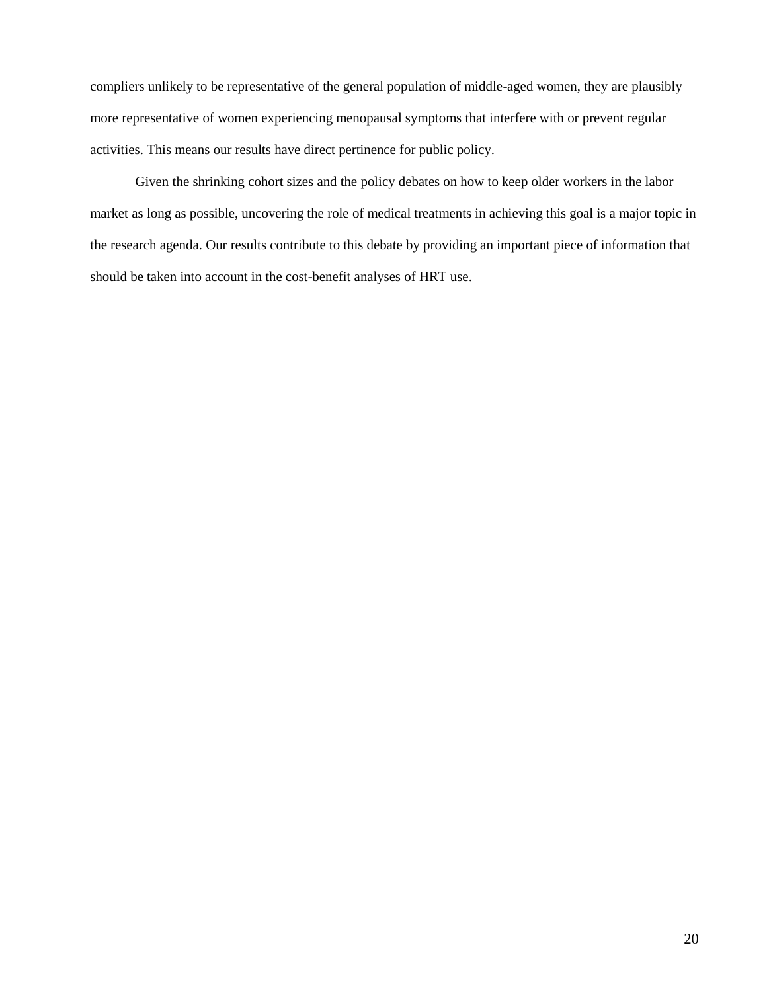compliers unlikely to be representative of the general population of middle-aged women, they are plausibly more representative of women experiencing menopausal symptoms that interfere with or prevent regular activities. This means our results have direct pertinence for public policy.

Given the shrinking cohort sizes and the policy debates on how to keep older workers in the labor market as long as possible, uncovering the role of medical treatments in achieving this goal is a major topic in the research agenda. Our results contribute to this debate by providing an important piece of information that should be taken into account in the cost-benefit analyses of HRT use.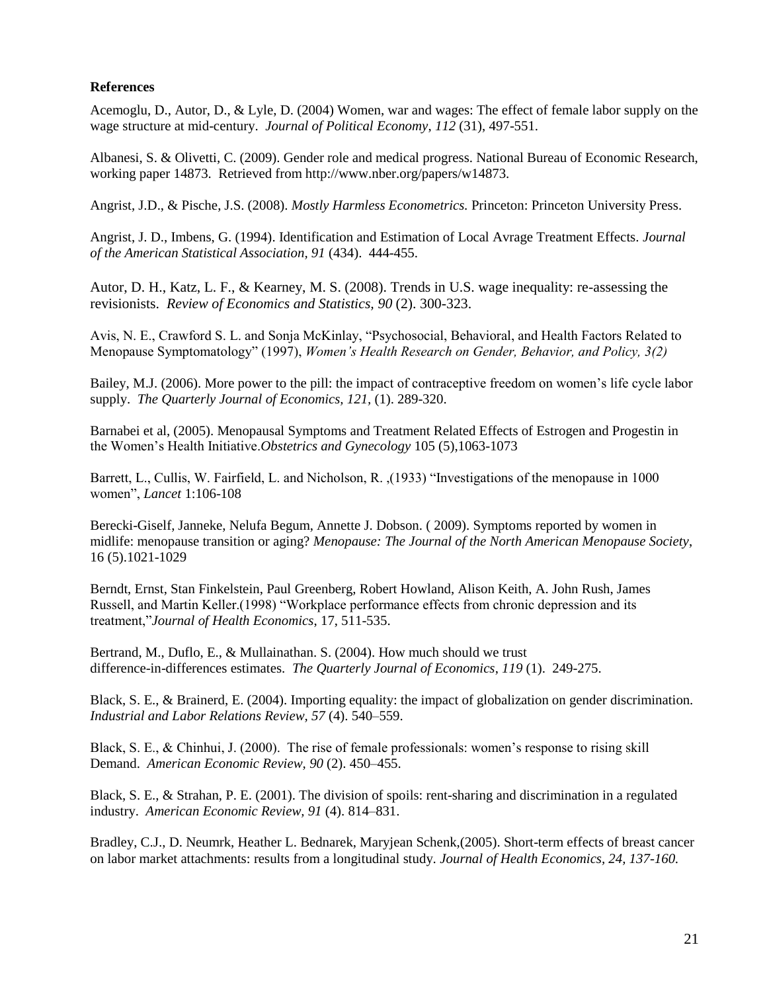#### **References**

Acemoglu, D., Autor, D., & Lyle, D. (2004) Women, war and wages: The effect of female labor supply on the wage structure at mid-century. *Journal of Political Economy*, *112* (31), 497-551.

Albanesi, S. & Olivetti, C. (2009). Gender role and medical progress. National Bureau of Economic Research, working paper 14873. Retrieved from http://www.nber.org/papers/w14873.

Angrist, J.D., & Pische, J.S. (2008). *Mostly Harmless Econometrics.* Princeton: Princeton University Press.

Angrist, J. D., Imbens, G. (1994). Identification and Estimation of Local Avrage Treatment Effects. *Journal of the American Statistical Association, 91* (434). 444-455.

Autor, D. H., Katz, L. F., & Kearney, M. S. (2008). Trends in U.S. wage inequality: re-assessing the revisionists. *Review of Economics and Statistics, 90* (2). 300-323.

Avis, N. E., Crawford S. L. and Sonja McKinlay, "Psychosocial, Behavioral, and Health Factors Related to Menopause Symptomatology" (1997), *Women's Health Research on Gender, Behavior, and Policy, 3(2)*

Bailey, M.J. (2006). More power to the pill: the impact of contraceptive freedom on women's life cycle labor supply. *The Quarterly Journal of Economics, 121,* (1). 289-320.

Barnabei et al, (2005). Menopausal Symptoms and Treatment Related Effects of Estrogen and Progestin in the Women's Health Initiative.*Obstetrics and Gynecology* 105 (5),1063-1073

Barrett, L., Cullis, W. Fairfield, L. and Nicholson, R. ,(1933) "Investigations of the menopause in 1000 women", *Lancet* 1:106-108

Berecki-Giself, Janneke, Nelufa Begum, Annette J. Dobson. ( 2009). Symptoms reported by women in midlife: menopause transition or aging? *Menopause: The Journal of the North American Menopause Society*, 16 (5).1021-1029

Berndt, Ernst, Stan Finkelstein, Paul Greenberg, Robert Howland, Alison Keith, A. John Rush, James Russell, and Martin Keller.(1998) "Workplace performance effects from chronic depression and its treatment,"*Journal of Health Economics*, 17, 511-535.

Bertrand, M., Duflo, E., & Mullainathan. S. (2004). How much should we trust difference-in-differences estimates. *The Quarterly Journal of Economics*, *119* (1). 249-275.

Black, S. E., & Brainerd, E. (2004). Importing equality: the impact of globalization on gender discrimination. *Industrial and Labor Relations Review, 57* (4). 540–559.

Black, S. E., & Chinhui, J. (2000). The rise of female professionals: women's response to rising skill Demand. *American Economic Review, 90* (2). 450–455.

Black, S. E., & Strahan, P. E. (2001). The division of spoils: rent-sharing and discrimination in a regulated industry. *American Economic Review, 91* (4). 814–831.

Bradley, C.J., D. Neumrk, Heather L. Bednarek, Maryjean Schenk,(2005). Short-term effects of breast cancer on labor market attachments: results from a longitudinal study. *Journal of Health Economics, 24, 137-160.*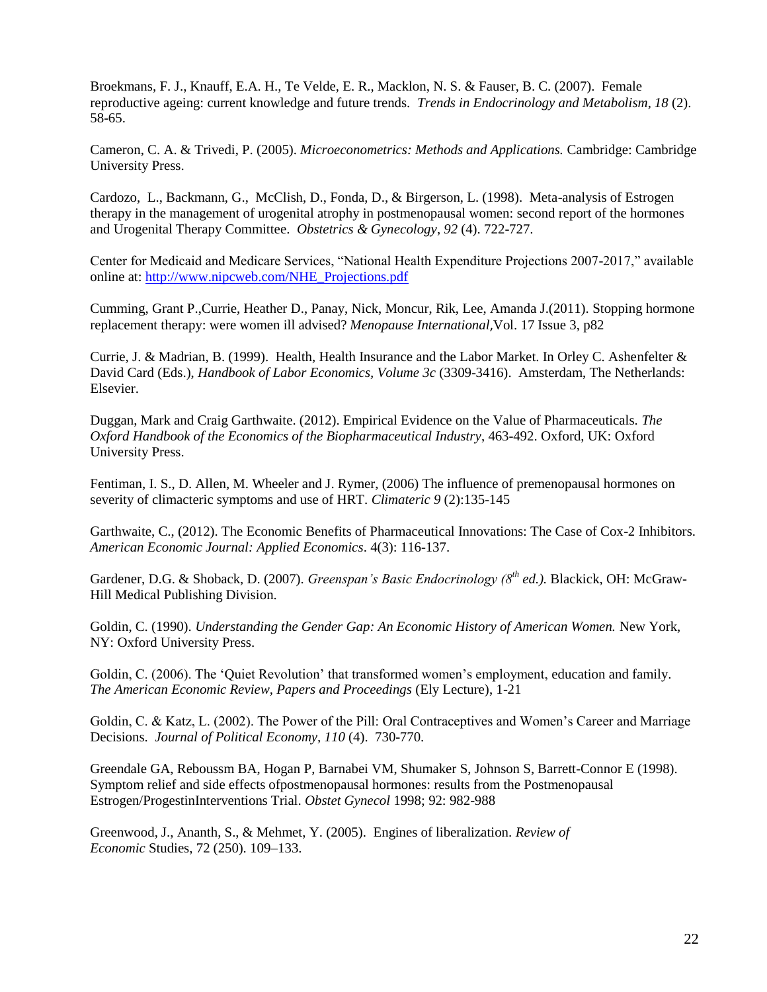Broekmans, F. J., Knauff, E.A. H., Te Velde, E. R., Macklon, N. S. & Fauser, B. C. (2007). Female reproductive ageing: current knowledge and future trends. *Trends in Endocrinology and Metabolism, 18* (2). 58-65.

Cameron, C. A. & Trivedi, P. (2005). *Microeconometrics: Methods and Applications.* Cambridge: Cambridge University Press.

Cardozo, L., Backmann, G., McClish, D., Fonda, D., & Birgerson, L. (1998). Meta-analysis of Estrogen therapy in the management of urogenital atrophy in postmenopausal women: second report of the hormones and Urogenital Therapy Committee. *Obstetrics & Gynecology*, *92* (4). 722-727.

Center for Medicaid and Medicare Services, "National Health Expenditure Projections 2007-2017," available online at: [http://www.nipcweb.com/NHE\\_Projections.pdf](http://www.nipcweb.com/NHE_Projections.pdf)

Cumming, Grant P.,Currie, Heather D., Panay, Nick, Moncur, Rik, Lee, Amanda J.(2011). Stopping hormone replacement therapy: were women ill advised? *Menopause International*,Vol. 17 Issue 3, p82

Currie, J. & Madrian, B. (1999). Health, Health Insurance and the Labor Market. In Orley C. Ashenfelter & David Card (Eds.), *Handbook of Labor Economics, Volume 3c* (3309-3416). Amsterdam, The Netherlands: Elsevier.

Duggan, Mark and Craig Garthwaite. (2012). Empirical Evidence on the Value of Pharmaceuticals. *The Oxford Handbook of the Economics of the Biopharmaceutical Industry*, 463-492. Oxford, UK: Oxford University Press.

Fentiman, I. S., D. Allen, M. Wheeler and J. Rymer, (2006) The influence of premenopausal hormones on severity of climacteric symptoms and use of HRT. *Climateric 9* (2):135-145

Garthwaite, C., (2012). The Economic Benefits of Pharmaceutical Innovations: The Case of Cox-2 Inhibitors. *American Economic Journal: Applied Economics*. 4(3): 116-137.

Gardener, D.G. & Shoback, D. (2007). *Greenspan's Basic Endocrinology (8th ed.).* Blackick, OH: McGraw-Hill Medical Publishing Division.

Goldin, C. (1990). *Understanding the Gender Gap: An Economic History of American Women.* New York, NY: Oxford University Press.

Goldin, C. (2006). The 'Quiet Revolution' that transformed women's employment, education and family. *The American Economic Review, Papers and Proceedings* (Ely Lecture), 1-21

Goldin, C. & Katz, L. (2002). The Power of the Pill: Oral Contraceptives and Women's Career and Marriage Decisions. *Journal of Political Economy, 110* (4). 730-770.

Greendale GA, Reboussm BA, Hogan P, Barnabei VM, Shumaker S, Johnson S, Barrett-Connor E (1998). Symptom relief and side effects ofpostmenopausal hormones: results from the Postmenopausal Estrogen/ProgestinInterventions Trial. *Obstet Gynecol* 1998; 92: 982-988

Greenwood, J., Ananth, S., & Mehmet, Y. (2005). Engines of liberalization. *Review of Economic* Studies, 72 (250). 109–133.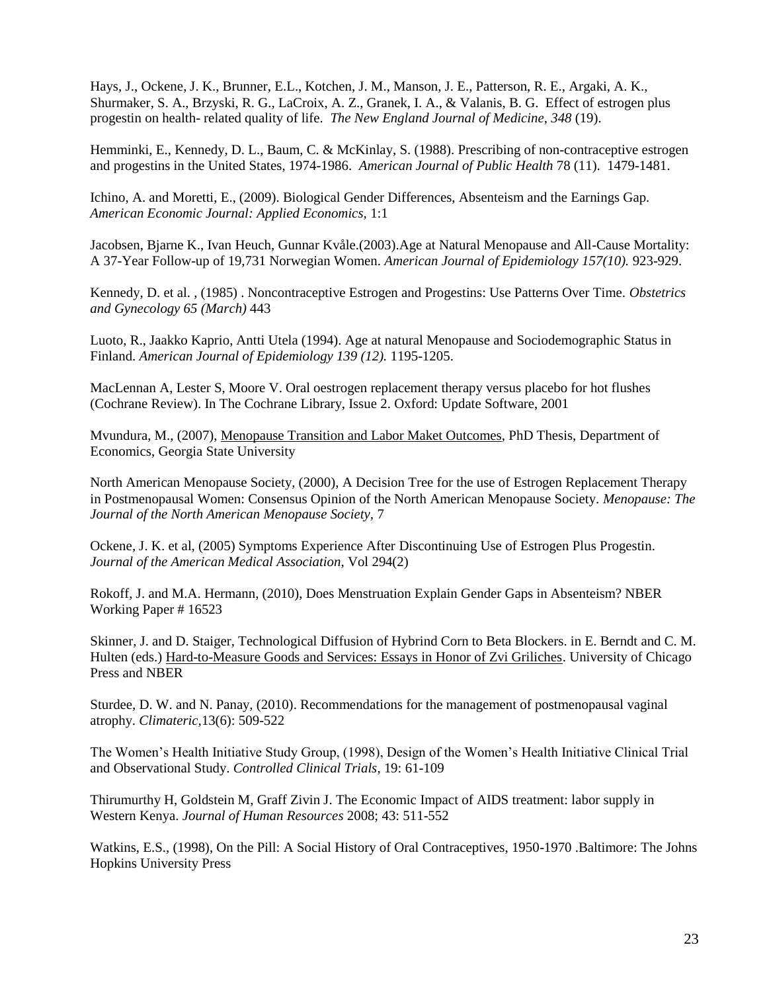Hays, J., Ockene, J. K., Brunner, E.L., Kotchen, J. M., Manson, J. E., Patterson, R. E., Argaki, A. K., Shurmaker, S. A., Brzyski, R. G., LaCroix, A. Z., Granek, I. A., & Valanis, B. G. Effect of estrogen plus progestin on health- related quality of life. *The New England Journal of Medicine*, *348* (19).

Hemminki, E., Kennedy, D. L., Baum, C. & McKinlay, S. (1988). Prescribing of non-contraceptive estrogen and progestins in the United States, 1974-1986. *American Journal of Public Health* 78 (11). 1479-1481.

Ichino, A. and Moretti, E., (2009). Biological Gender Differences, Absenteism and the Earnings Gap. *American Economic Journal: Applied Economics,* 1:1

Jacobsen, Bjarne K., Ivan Heuch, Gunnar Kvåle.(2003).Age at Natural Menopause and All-Cause Mortality: A 37-Year Follow-up of 19,731 Norwegian Women. *American Journal of Epidemiology 157(10).* 923-929.

Kennedy, D. et al. , (1985) . Noncontraceptive Estrogen and Progestins: Use Patterns Over Time. *Obstetrics and Gynecology 65 (March)* 443

Luoto, R., Jaakko Kaprio, Antti Utela (1994). Age at natural Menopause and Sociodemographic Status in Finland. *American Journal of Epidemiology 139 (12).* 1195-1205.

MacLennan A, Lester S, Moore V. Oral oestrogen replacement therapy versus placebo for hot flushes (Cochrane Review). In The Cochrane Library, Issue 2. Oxford: Update Software, 2001

Mvundura, M., (2007), Menopause Transition and Labor Maket Outcomes, PhD Thesis, Department of Economics, Georgia State University

North American Menopause Society, (2000), A Decision Tree for the use of Estrogen Replacement Therapy in Postmenopausal Women: Consensus Opinion of the North American Menopause Society. *Menopause: The Journal of the North American Menopause Society,* 7

Ockene, J. K. et al, (2005) Symptoms Experience After Discontinuing Use of Estrogen Plus Progestin. *Journal of the American Medical Association,* Vol 294(2)

Rokoff, J. and M.A. Hermann, (2010), Does Menstruation Explain Gender Gaps in Absenteism? NBER Working Paper # 16523

Skinner, J. and D. Staiger, Technological Diffusion of Hybrind Corn to Beta Blockers. in E. Berndt and C. M. Hulten (eds.) Hard-to-Measure Goods and Services: Essays in Honor of Zvi Griliches. University of Chicago Press and NBER

Sturdee, D. W. and N. Panay, (2010). Recommendations for the management of postmenopausal vaginal atrophy. *Climateric,*13(6): 509-522

The Women's Health Initiative Study Group, (1998), Design of the Women's Health Initiative Clinical Trial and Observational Study. *Controlled Clinical Trials*, 19: 61-109

Thirumurthy H, Goldstein M, Graff Zivin J. The Economic Impact of AIDS treatment: labor supply in Western Kenya. *Journal of Human Resources* 2008; 43: 511-552

Watkins, E.S., (1998), On the Pill: A Social History of Oral Contraceptives, 1950-1970 .Baltimore: The Johns Hopkins University Press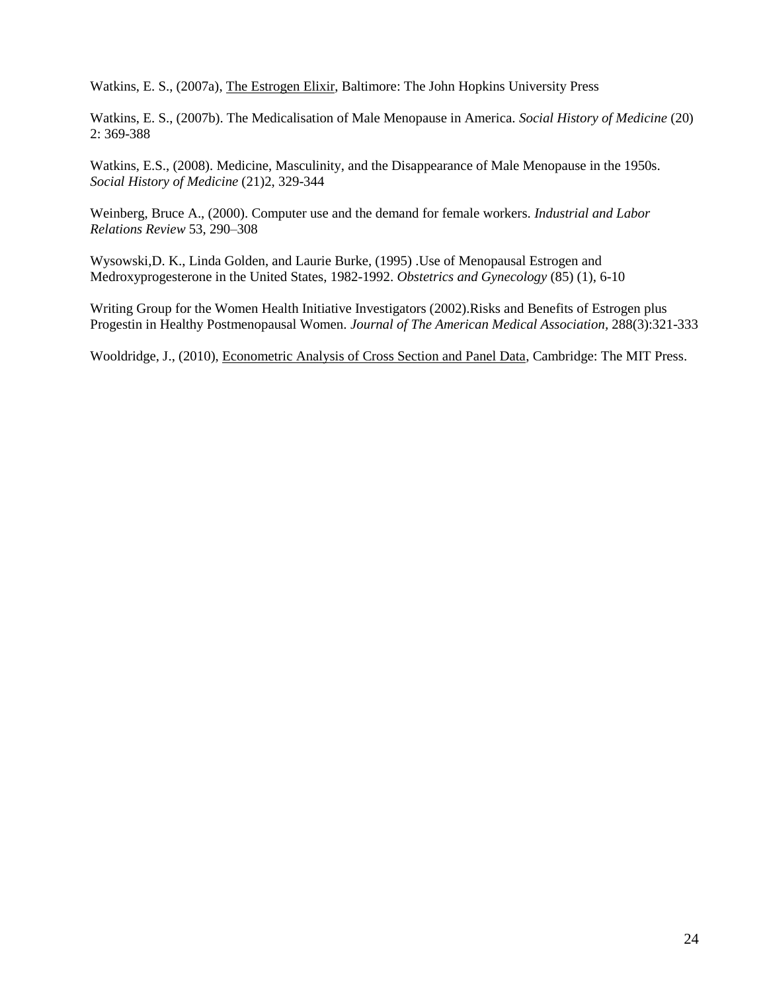Watkins, E. S., (2007a), The Estrogen Elixir, Baltimore: The John Hopkins University Press

Watkins, E. S., (2007b). The Medicalisation of Male Menopause in America. *Social History of Medicine* (20) 2: 369-388

Watkins, E.S., (2008). Medicine, Masculinity, and the Disappearance of Male Menopause in the 1950s. *Social History of Medicine* (21)2, 329-344

Weinberg, Bruce A., (2000). Computer use and the demand for female workers. *Industrial and Labor Relations Review* 53, 290–308

Wysowski,D. K., Linda Golden, and Laurie Burke, (1995) .Use of Menopausal Estrogen and Medroxyprogesterone in the United States, 1982-1992. *Obstetrics and Gynecology* (85) (1), 6-10

Writing Group for the Women Health Initiative Investigators (2002).Risks and Benefits of Estrogen plus Progestin in Healthy Postmenopausal Women. *Journal of The American Medical Association,* 288(3):321-333

Wooldridge, J., (2010), Econometric Analysis of Cross Section and Panel Data, Cambridge: The MIT Press.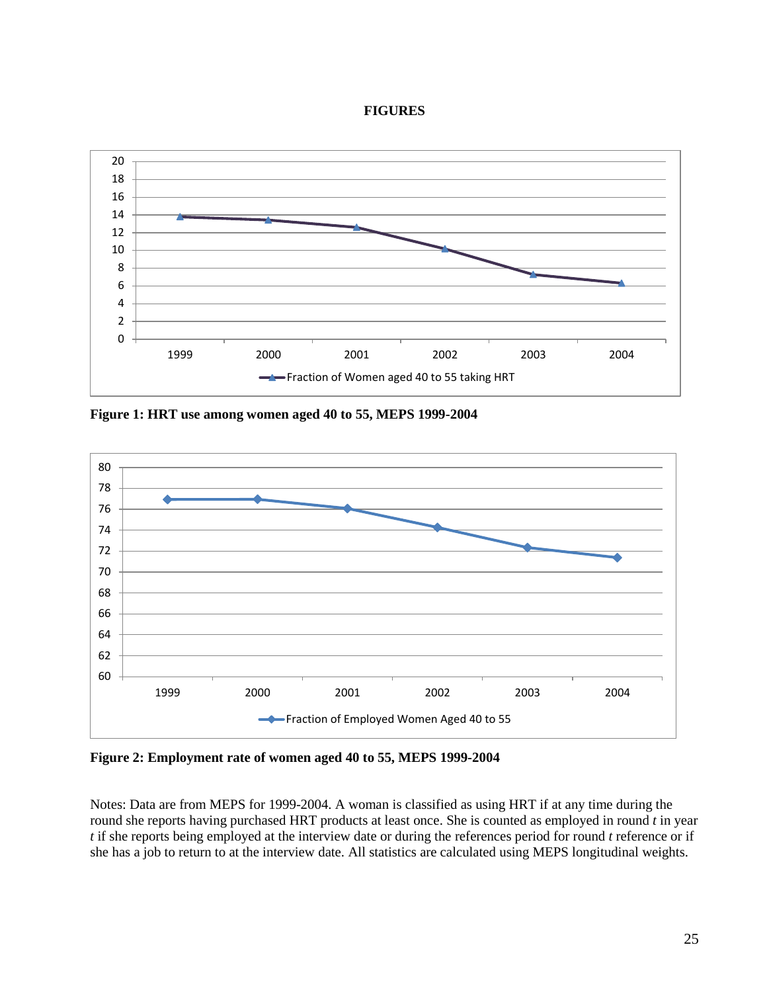#### **FIGURES**



**Figure 1: HRT use among women aged 40 to 55, MEPS 1999-2004**



**Figure 2: Employment rate of women aged 40 to 55, MEPS 1999-2004**

Notes: Data are from MEPS for 1999-2004. A woman is classified as using HRT if at any time during the round she reports having purchased HRT products at least once. She is counted as employed in round *t* in year *t* if she reports being employed at the interview date or during the references period for round *t* reference or if she has a job to return to at the interview date. All statistics are calculated using MEPS longitudinal weights.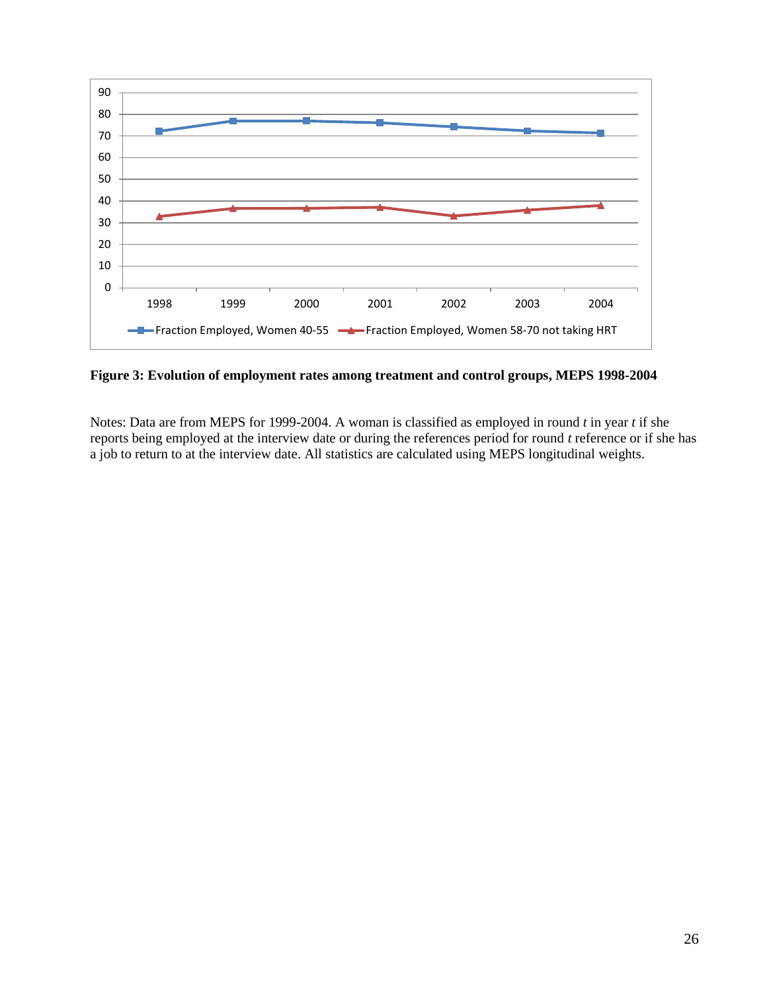

**Figure 3: Evolution of employment rates among treatment and control groups, MEPS 1998-2004**

Notes: Data are from MEPS for 1999-2004. A woman is classified as employed in round *t* in year *t* if she reports being employed at the interview date or during the references period for round *t* reference or if she has a job to return to at the interview date. All statistics are calculated using MEPS longitudinal weights.